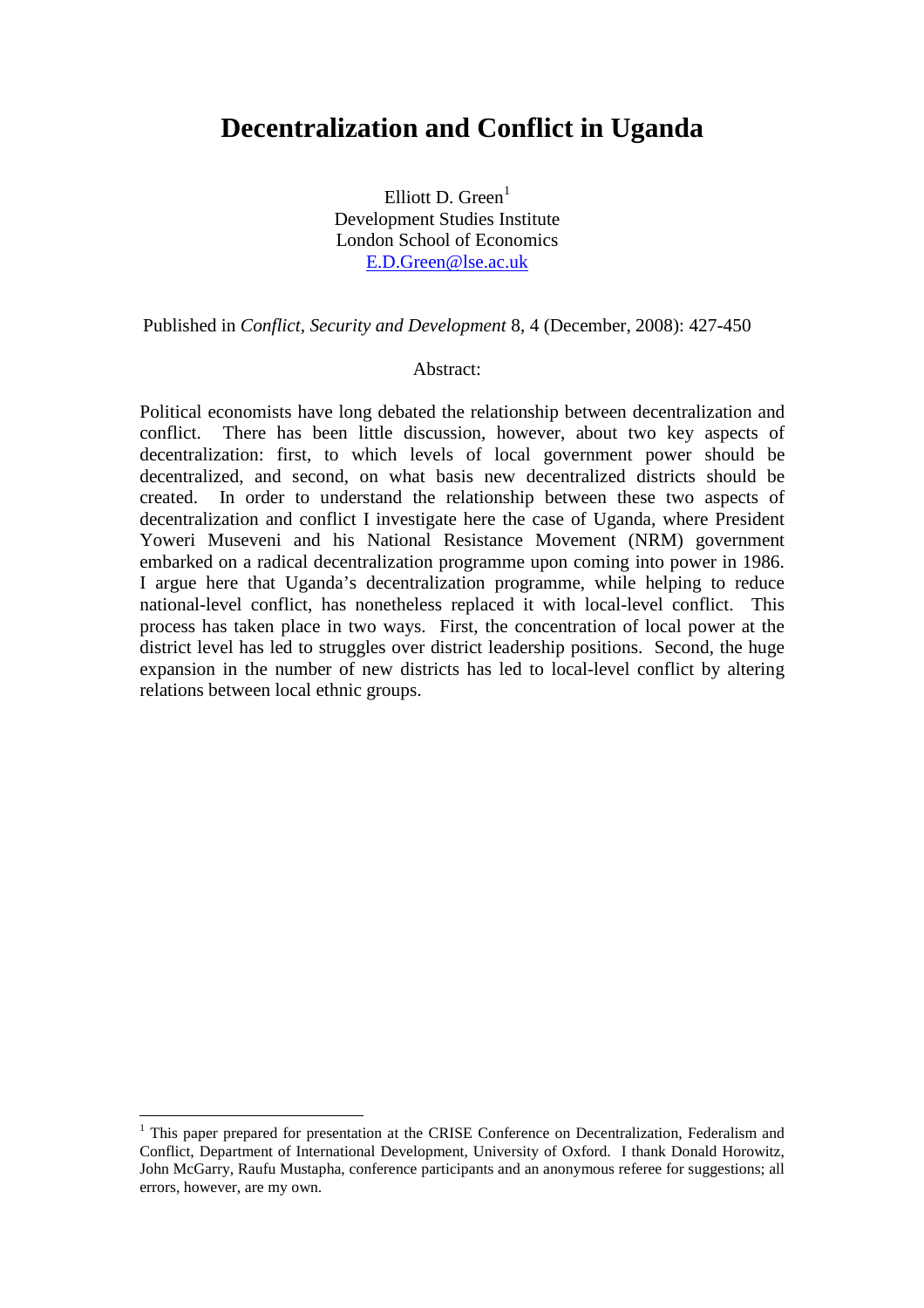# **Decentralization and Conflict in Uganda**

Elliott D. Green $<sup>1</sup>$ </sup> Development Studies Institute London School of Economics E.D.Green@lse.ac.uk

Published in *Conflict, Security and Development* 8, 4 (December, 2008): 427-450

#### Abstract:

Political economists have long debated the relationship between decentralization and conflict. There has been little discussion, however, about two key aspects of decentralization: first, to which levels of local government power should be decentralized, and second, on what basis new decentralized districts should be created. In order to understand the relationship between these two aspects of decentralization and conflict I investigate here the case of Uganda, where President Yoweri Museveni and his National Resistance Movement (NRM) government embarked on a radical decentralization programme upon coming into power in 1986. I argue here that Uganda's decentralization programme, while helping to reduce national-level conflict, has nonetheless replaced it with local-level conflict. This process has taken place in two ways. First, the concentration of local power at the district level has led to struggles over district leadership positions. Second, the huge expansion in the number of new districts has led to local-level conflict by altering relations between local ethnic groups.

 $\overline{a}$ 

<sup>&</sup>lt;sup>1</sup> This paper prepared for presentation at the CRISE Conference on Decentralization, Federalism and Conflict, Department of International Development, University of Oxford. I thank Donald Horowitz, John McGarry, Raufu Mustapha, conference participants and an anonymous referee for suggestions; all errors, however, are my own.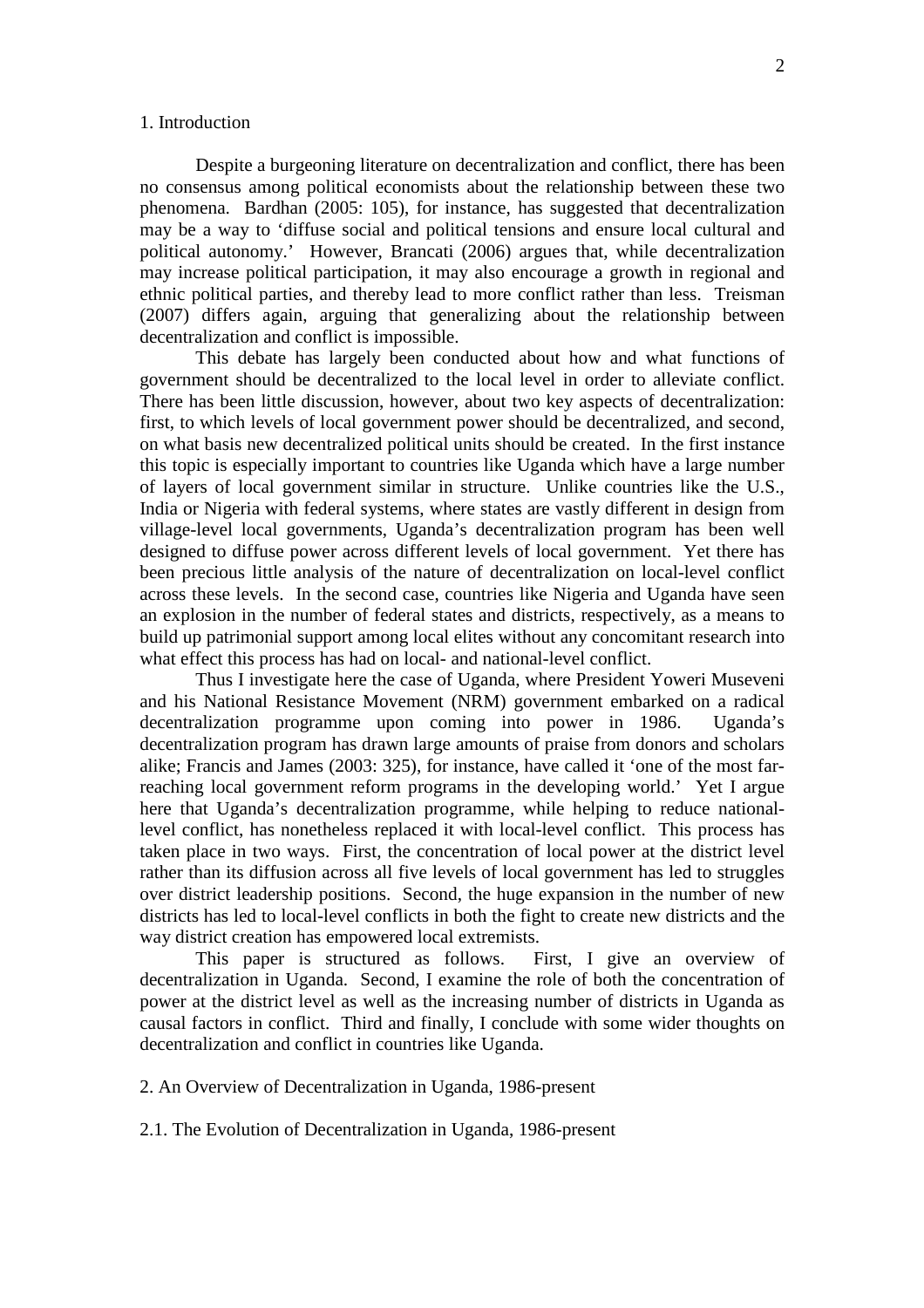#### 1. Introduction

Despite a burgeoning literature on decentralization and conflict, there has been no consensus among political economists about the relationship between these two phenomena. Bardhan (2005: 105), for instance, has suggested that decentralization may be a way to 'diffuse social and political tensions and ensure local cultural and political autonomy.' However, Brancati (2006) argues that, while decentralization may increase political participation, it may also encourage a growth in regional and ethnic political parties, and thereby lead to more conflict rather than less. Treisman (2007) differs again, arguing that generalizing about the relationship between decentralization and conflict is impossible.

This debate has largely been conducted about how and what functions of government should be decentralized to the local level in order to alleviate conflict. There has been little discussion, however, about two key aspects of decentralization: first, to which levels of local government power should be decentralized, and second, on what basis new decentralized political units should be created. In the first instance this topic is especially important to countries like Uganda which have a large number of layers of local government similar in structure. Unlike countries like the U.S., India or Nigeria with federal systems, where states are vastly different in design from village-level local governments, Uganda's decentralization program has been well designed to diffuse power across different levels of local government. Yet there has been precious little analysis of the nature of decentralization on local-level conflict across these levels. In the second case, countries like Nigeria and Uganda have seen an explosion in the number of federal states and districts, respectively, as a means to build up patrimonial support among local elites without any concomitant research into what effect this process has had on local- and national-level conflict.

Thus I investigate here the case of Uganda, where President Yoweri Museveni and his National Resistance Movement (NRM) government embarked on a radical decentralization programme upon coming into power in 1986. Uganda's decentralization program has drawn large amounts of praise from donors and scholars alike; Francis and James (2003: 325), for instance, have called it 'one of the most farreaching local government reform programs in the developing world.' Yet I argue here that Uganda's decentralization programme, while helping to reduce nationallevel conflict, has nonetheless replaced it with local-level conflict. This process has taken place in two ways. First, the concentration of local power at the district level rather than its diffusion across all five levels of local government has led to struggles over district leadership positions. Second, the huge expansion in the number of new districts has led to local-level conflicts in both the fight to create new districts and the way district creation has empowered local extremists.

This paper is structured as follows. First, I give an overview of decentralization in Uganda. Second, I examine the role of both the concentration of power at the district level as well as the increasing number of districts in Uganda as causal factors in conflict. Third and finally, I conclude with some wider thoughts on decentralization and conflict in countries like Uganda.

2. An Overview of Decentralization in Uganda, 1986-present

2.1. The Evolution of Decentralization in Uganda, 1986-present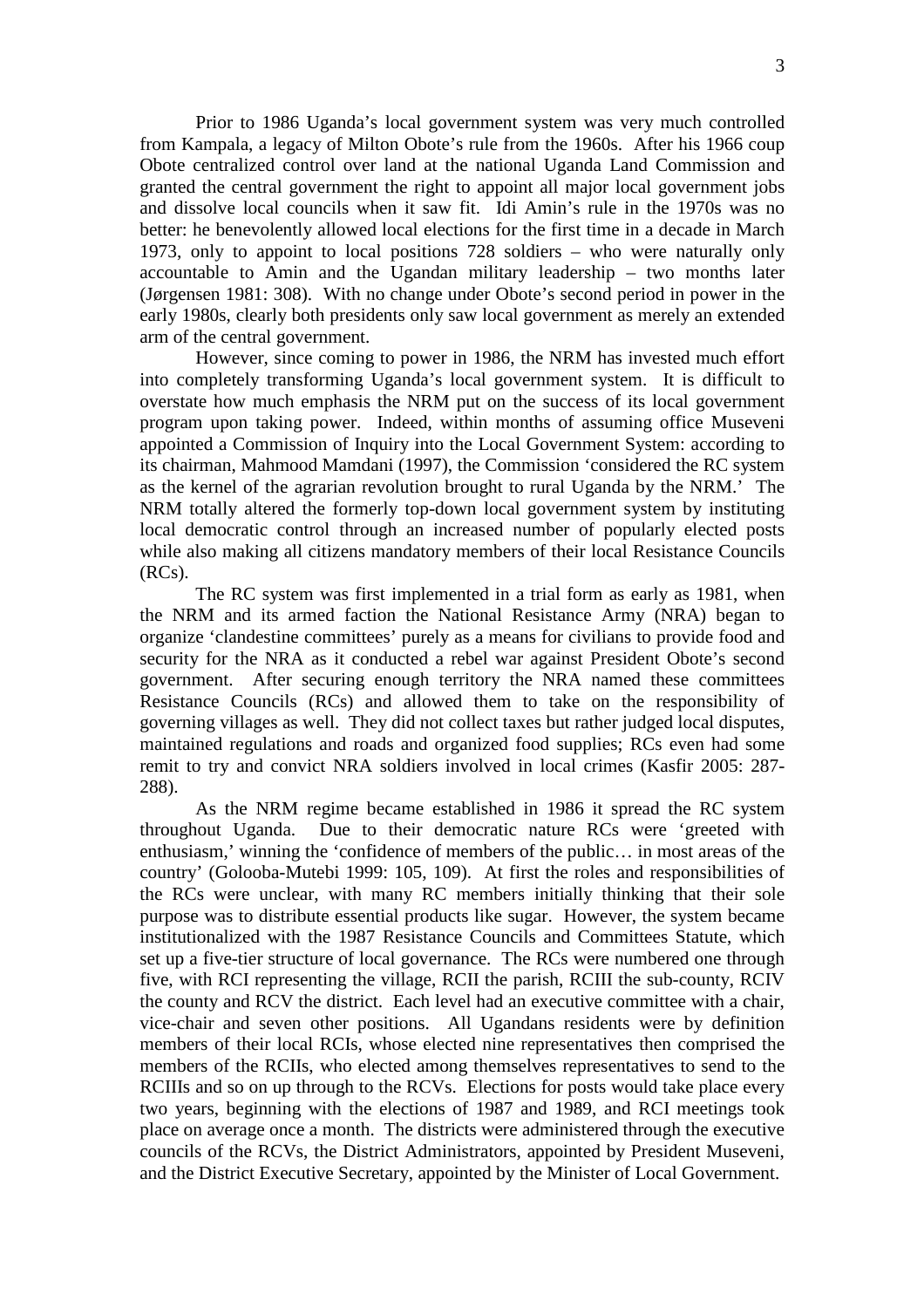Prior to 1986 Uganda's local government system was very much controlled from Kampala, a legacy of Milton Obote's rule from the 1960s. After his 1966 coup Obote centralized control over land at the national Uganda Land Commission and granted the central government the right to appoint all major local government jobs and dissolve local councils when it saw fit. Idi Amin's rule in the 1970s was no better: he benevolently allowed local elections for the first time in a decade in March 1973, only to appoint to local positions 728 soldiers – who were naturally only accountable to Amin and the Ugandan military leadership – two months later (Jørgensen 1981: 308). With no change under Obote's second period in power in the early 1980s, clearly both presidents only saw local government as merely an extended arm of the central government.

However, since coming to power in 1986, the NRM has invested much effort into completely transforming Uganda's local government system. It is difficult to overstate how much emphasis the NRM put on the success of its local government program upon taking power. Indeed, within months of assuming office Museveni appointed a Commission of Inquiry into the Local Government System: according to its chairman, Mahmood Mamdani (1997), the Commission 'considered the RC system as the kernel of the agrarian revolution brought to rural Uganda by the NRM.' The NRM totally altered the formerly top-down local government system by instituting local democratic control through an increased number of popularly elected posts while also making all citizens mandatory members of their local Resistance Councils (RCs).

 The RC system was first implemented in a trial form as early as 1981, when the NRM and its armed faction the National Resistance Army (NRA) began to organize 'clandestine committees' purely as a means for civilians to provide food and security for the NRA as it conducted a rebel war against President Obote's second government. After securing enough territory the NRA named these committees Resistance Councils (RCs) and allowed them to take on the responsibility of governing villages as well. They did not collect taxes but rather judged local disputes, maintained regulations and roads and organized food supplies; RCs even had some remit to try and convict NRA soldiers involved in local crimes (Kasfir 2005: 287- 288).

As the NRM regime became established in 1986 it spread the RC system throughout Uganda. Due to their democratic nature RCs were 'greeted with enthusiasm,' winning the 'confidence of members of the public… in most areas of the country' (Golooba-Mutebi 1999: 105, 109). At first the roles and responsibilities of the RCs were unclear, with many RC members initially thinking that their sole purpose was to distribute essential products like sugar. However, the system became institutionalized with the 1987 Resistance Councils and Committees Statute, which set up a five-tier structure of local governance. The RCs were numbered one through five, with RCI representing the village, RCII the parish, RCIII the sub-county, RCIV the county and RCV the district. Each level had an executive committee with a chair, vice-chair and seven other positions. All Ugandans residents were by definition members of their local RCIs, whose elected nine representatives then comprised the members of the RCIIs, who elected among themselves representatives to send to the RCIIIs and so on up through to the RCVs. Elections for posts would take place every two years, beginning with the elections of 1987 and 1989, and RCI meetings took place on average once a month. The districts were administered through the executive councils of the RCVs, the District Administrators, appointed by President Museveni, and the District Executive Secretary, appointed by the Minister of Local Government.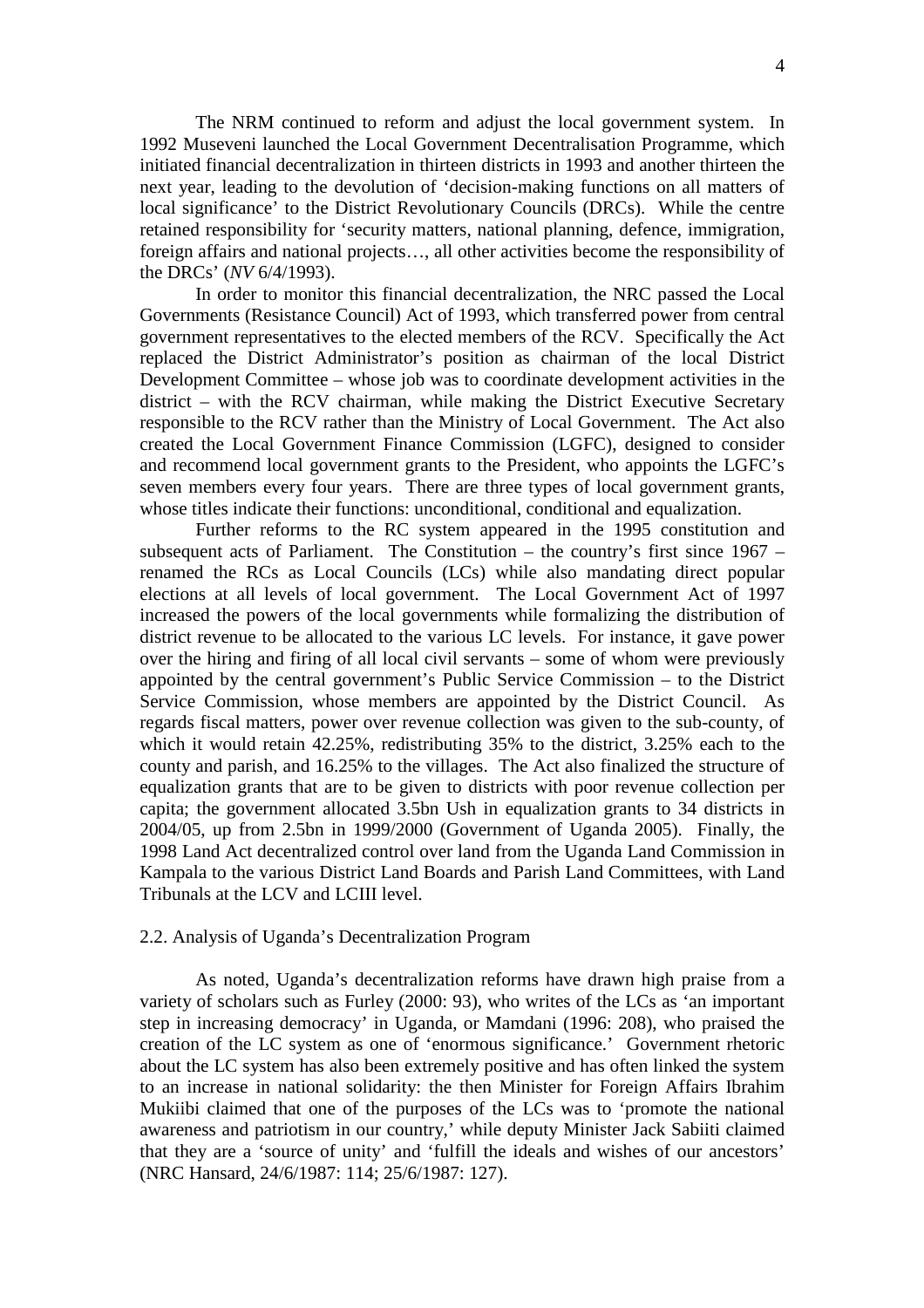The NRM continued to reform and adjust the local government system. In 1992 Museveni launched the Local Government Decentralisation Programme, which initiated financial decentralization in thirteen districts in 1993 and another thirteen the next year, leading to the devolution of 'decision-making functions on all matters of local significance' to the District Revolutionary Councils (DRCs). While the centre retained responsibility for 'security matters, national planning, defence, immigration, foreign affairs and national projects…, all other activities become the responsibility of the DRCs' (*NV* 6/4/1993).

In order to monitor this financial decentralization, the NRC passed the Local Governments (Resistance Council) Act of 1993, which transferred power from central government representatives to the elected members of the RCV. Specifically the Act replaced the District Administrator's position as chairman of the local District Development Committee – whose job was to coordinate development activities in the district – with the RCV chairman, while making the District Executive Secretary responsible to the RCV rather than the Ministry of Local Government. The Act also created the Local Government Finance Commission (LGFC), designed to consider and recommend local government grants to the President, who appoints the LGFC's seven members every four years. There are three types of local government grants, whose titles indicate their functions: unconditional, conditional and equalization.

Further reforms to the RC system appeared in the 1995 constitution and subsequent acts of Parliament. The Constitution – the country's first since 1967 – renamed the RCs as Local Councils (LCs) while also mandating direct popular elections at all levels of local government. The Local Government Act of 1997 increased the powers of the local governments while formalizing the distribution of district revenue to be allocated to the various LC levels. For instance, it gave power over the hiring and firing of all local civil servants – some of whom were previously appointed by the central government's Public Service Commission – to the District Service Commission, whose members are appointed by the District Council. As regards fiscal matters, power over revenue collection was given to the sub-county, of which it would retain 42.25%, redistributing 35% to the district, 3.25% each to the county and parish, and 16.25% to the villages. The Act also finalized the structure of equalization grants that are to be given to districts with poor revenue collection per capita; the government allocated 3.5bn Ush in equalization grants to 34 districts in 2004/05, up from 2.5bn in 1999/2000 (Government of Uganda 2005). Finally, the 1998 Land Act decentralized control over land from the Uganda Land Commission in Kampala to the various District Land Boards and Parish Land Committees, with Land Tribunals at the LCV and LCIII level.

#### 2.2. Analysis of Uganda's Decentralization Program

As noted, Uganda's decentralization reforms have drawn high praise from a variety of scholars such as Furley (2000: 93), who writes of the LCs as 'an important step in increasing democracy' in Uganda, or Mamdani (1996: 208), who praised the creation of the LC system as one of 'enormous significance.' Government rhetoric about the LC system has also been extremely positive and has often linked the system to an increase in national solidarity: the then Minister for Foreign Affairs Ibrahim Mukiibi claimed that one of the purposes of the LCs was to 'promote the national awareness and patriotism in our country,' while deputy Minister Jack Sabiiti claimed that they are a 'source of unity' and 'fulfill the ideals and wishes of our ancestors' (NRC Hansard, 24/6/1987: 114; 25/6/1987: 127).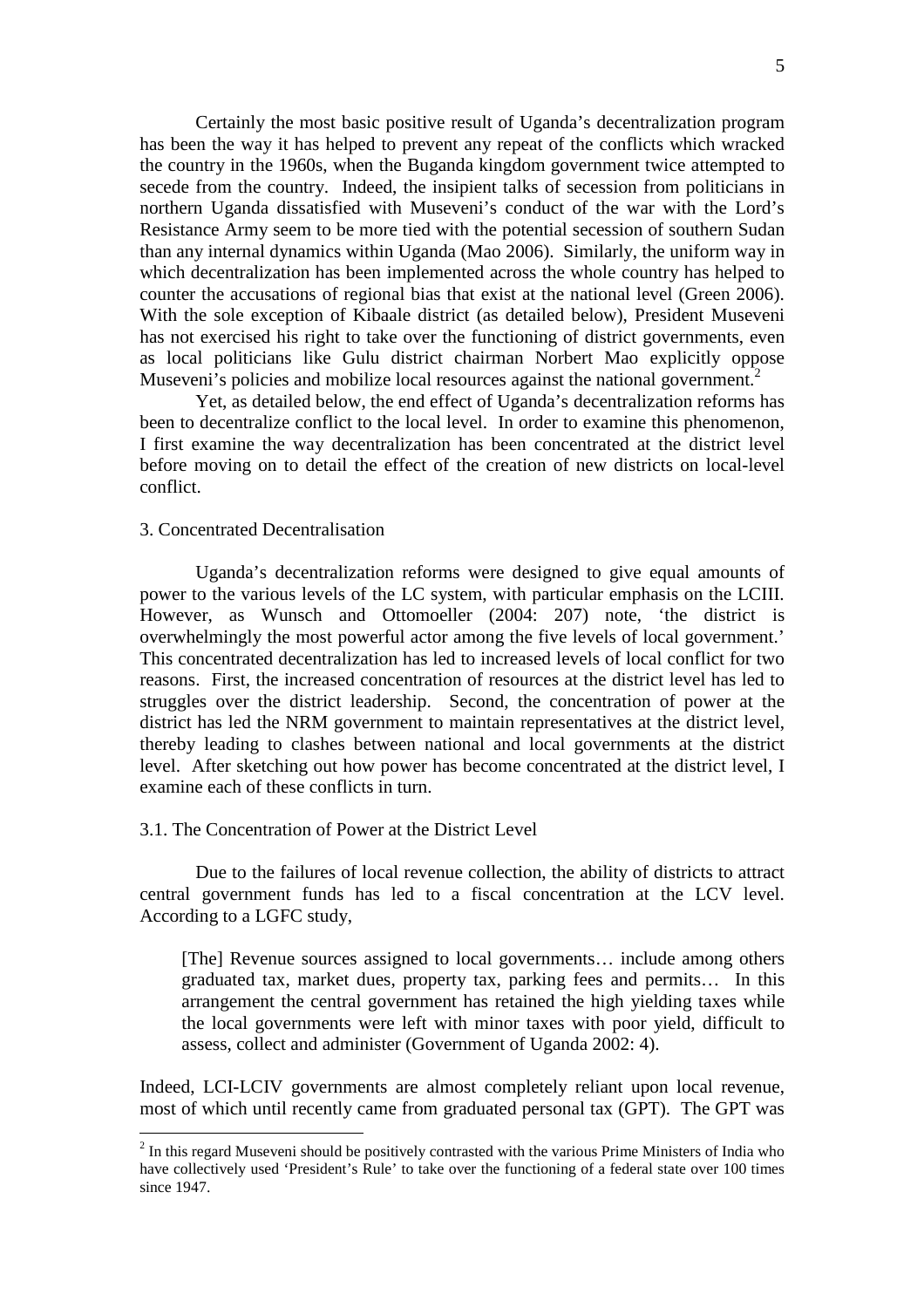Certainly the most basic positive result of Uganda's decentralization program has been the way it has helped to prevent any repeat of the conflicts which wracked the country in the 1960s, when the Buganda kingdom government twice attempted to secede from the country. Indeed, the insipient talks of secession from politicians in northern Uganda dissatisfied with Museveni's conduct of the war with the Lord's Resistance Army seem to be more tied with the potential secession of southern Sudan than any internal dynamics within Uganda (Mao 2006). Similarly, the uniform way in which decentralization has been implemented across the whole country has helped to counter the accusations of regional bias that exist at the national level (Green 2006). With the sole exception of Kibaale district (as detailed below), President Museveni has not exercised his right to take over the functioning of district governments, even as local politicians like Gulu district chairman Norbert Mao explicitly oppose Museveni's policies and mobilize local resources against the national government.<sup>2</sup>

Yet, as detailed below, the end effect of Uganda's decentralization reforms has been to decentralize conflict to the local level. In order to examine this phenomenon, I first examine the way decentralization has been concentrated at the district level before moving on to detail the effect of the creation of new districts on local-level conflict.

# 3. Concentrated Decentralisation

 $\overline{a}$ 

Uganda's decentralization reforms were designed to give equal amounts of power to the various levels of the LC system, with particular emphasis on the LCIII. However, as Wunsch and Ottomoeller (2004: 207) note, 'the district is overwhelmingly the most powerful actor among the five levels of local government.' This concentrated decentralization has led to increased levels of local conflict for two reasons. First, the increased concentration of resources at the district level has led to struggles over the district leadership. Second, the concentration of power at the district has led the NRM government to maintain representatives at the district level, thereby leading to clashes between national and local governments at the district level. After sketching out how power has become concentrated at the district level, I examine each of these conflicts in turn.

## 3.1. The Concentration of Power at the District Level

Due to the failures of local revenue collection, the ability of districts to attract central government funds has led to a fiscal concentration at the LCV level. According to a LGFC study,

[The] Revenue sources assigned to local governments… include among others graduated tax, market dues, property tax, parking fees and permits… In this arrangement the central government has retained the high yielding taxes while the local governments were left with minor taxes with poor yield, difficult to assess, collect and administer (Government of Uganda 2002: 4).

Indeed, LCI-LCIV governments are almost completely reliant upon local revenue, most of which until recently came from graduated personal tax (GPT). The GPT was

 $2^{2}$  In this regard Museveni should be positively contrasted with the various Prime Ministers of India who have collectively used 'President's Rule' to take over the functioning of a federal state over 100 times since 1947.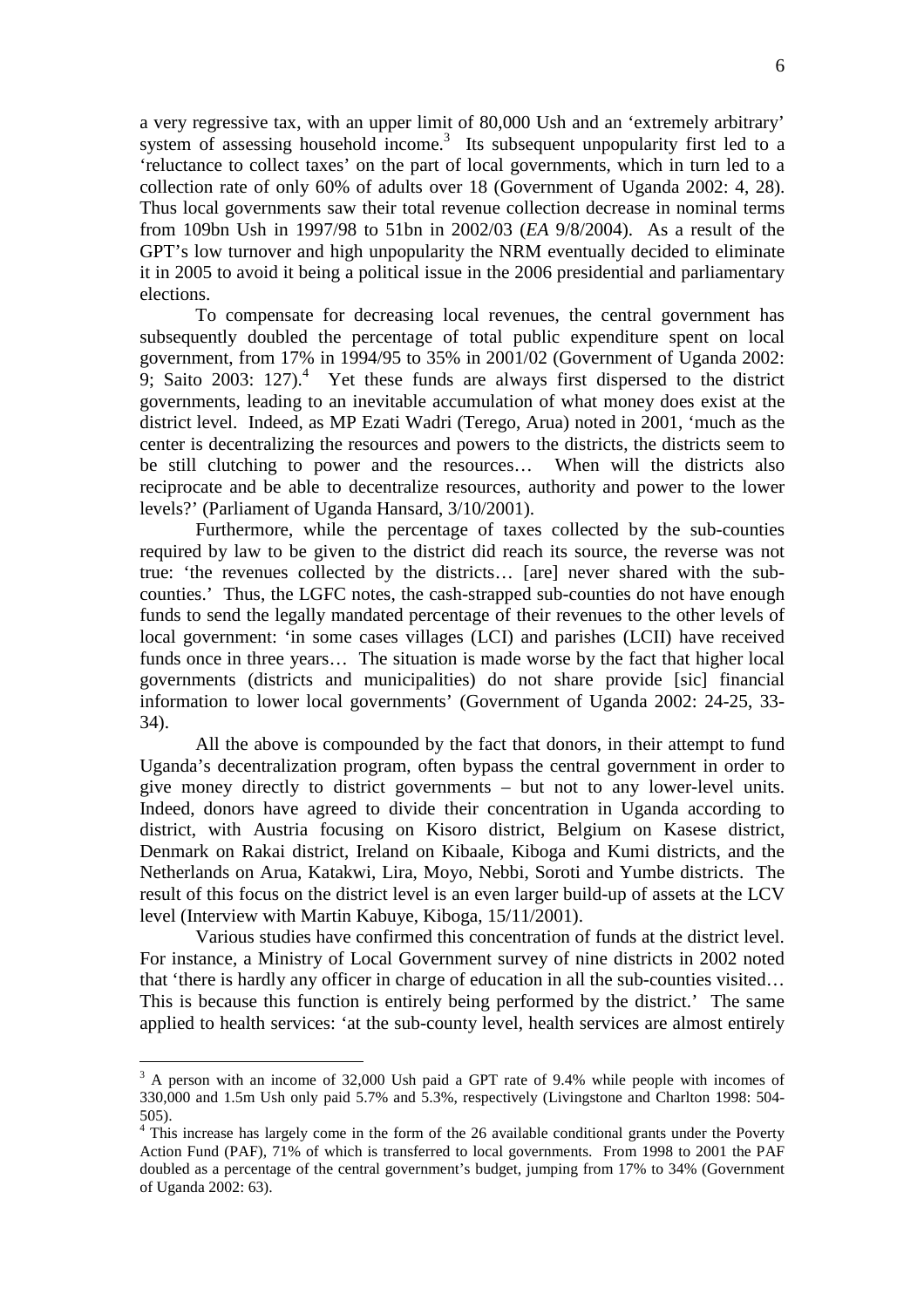a very regressive tax, with an upper limit of 80,000 Ush and an 'extremely arbitrary' system of assessing household income.<sup>3</sup> Its subsequent unpopularity first led to a 'reluctance to collect taxes' on the part of local governments, which in turn led to a collection rate of only 60% of adults over 18 (Government of Uganda 2002: 4, 28). Thus local governments saw their total revenue collection decrease in nominal terms from 109bn Ush in 1997/98 to 51bn in 2002/03 (*EA* 9/8/2004). As a result of the GPT's low turnover and high unpopularity the NRM eventually decided to eliminate it in 2005 to avoid it being a political issue in the 2006 presidential and parliamentary elections.

To compensate for decreasing local revenues, the central government has subsequently doubled the percentage of total public expenditure spent on local government, from 17% in 1994/95 to 35% in 2001/02 (Government of Uganda 2002: 9; Saito 2003: 127). $4$  Yet these funds are always first dispersed to the district governments, leading to an inevitable accumulation of what money does exist at the district level. Indeed, as MP Ezati Wadri (Terego, Arua) noted in 2001, 'much as the center is decentralizing the resources and powers to the districts, the districts seem to be still clutching to power and the resources… When will the districts also reciprocate and be able to decentralize resources, authority and power to the lower levels?' (Parliament of Uganda Hansard, 3/10/2001).

Furthermore, while the percentage of taxes collected by the sub-counties required by law to be given to the district did reach its source, the reverse was not true: 'the revenues collected by the districts… [are] never shared with the subcounties.' Thus, the LGFC notes, the cash-strapped sub-counties do not have enough funds to send the legally mandated percentage of their revenues to the other levels of local government: 'in some cases villages (LCI) and parishes (LCII) have received funds once in three years… The situation is made worse by the fact that higher local governments (districts and municipalities) do not share provide [sic] financial information to lower local governments' (Government of Uganda 2002: 24-25, 33- 34).

All the above is compounded by the fact that donors, in their attempt to fund Uganda's decentralization program, often bypass the central government in order to give money directly to district governments – but not to any lower-level units. Indeed, donors have agreed to divide their concentration in Uganda according to district, with Austria focusing on Kisoro district, Belgium on Kasese district, Denmark on Rakai district, Ireland on Kibaale, Kiboga and Kumi districts, and the Netherlands on Arua, Katakwi, Lira, Moyo, Nebbi, Soroti and Yumbe districts. The result of this focus on the district level is an even larger build-up of assets at the LCV level (Interview with Martin Kabuye, Kiboga, 15/11/2001).

Various studies have confirmed this concentration of funds at the district level. For instance, a Ministry of Local Government survey of nine districts in 2002 noted that 'there is hardly any officer in charge of education in all the sub-counties visited… This is because this function is entirely being performed by the district.' The same applied to health services: 'at the sub-county level, health services are almost entirely

<sup>&</sup>lt;sup>3</sup> A person with an income of 32,000 Ush paid a GPT rate of 9.4% while people with incomes of 330,000 and 1.5m Ush only paid 5.7% and 5.3%, respectively (Livingstone and Charlton 1998: 504- 505).

<sup>&</sup>lt;sup>4</sup> This increase has largely come in the form of the 26 available conditional grants under the Poverty Action Fund (PAF), 71% of which is transferred to local governments. From 1998 to 2001 the PAF doubled as a percentage of the central government's budget, jumping from 17% to 34% (Government of Uganda 2002: 63).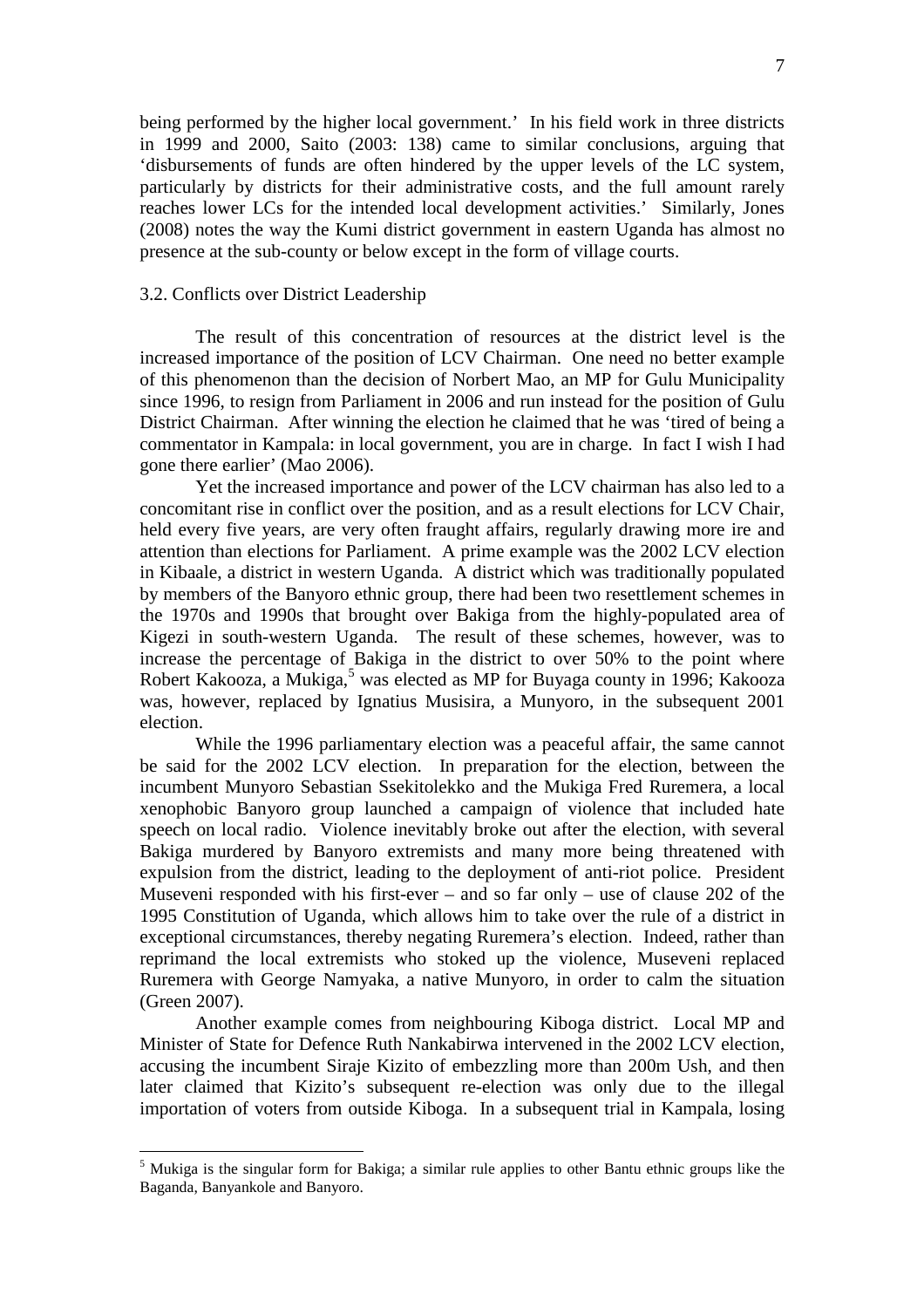being performed by the higher local government.' In his field work in three districts in 1999 and 2000, Saito (2003: 138) came to similar conclusions, arguing that 'disbursements of funds are often hindered by the upper levels of the LC system, particularly by districts for their administrative costs, and the full amount rarely reaches lower LCs for the intended local development activities.' Similarly, Jones (2008) notes the way the Kumi district government in eastern Uganda has almost no presence at the sub-county or below except in the form of village courts.

## 3.2. Conflicts over District Leadership

 $\overline{a}$ 

The result of this concentration of resources at the district level is the increased importance of the position of LCV Chairman. One need no better example of this phenomenon than the decision of Norbert Mao, an MP for Gulu Municipality since 1996, to resign from Parliament in 2006 and run instead for the position of Gulu District Chairman. After winning the election he claimed that he was 'tired of being a commentator in Kampala: in local government, you are in charge. In fact I wish I had gone there earlier' (Mao 2006).

Yet the increased importance and power of the LCV chairman has also led to a concomitant rise in conflict over the position, and as a result elections for LCV Chair, held every five years, are very often fraught affairs, regularly drawing more ire and attention than elections for Parliament. A prime example was the 2002 LCV election in Kibaale, a district in western Uganda. A district which was traditionally populated by members of the Banyoro ethnic group, there had been two resettlement schemes in the 1970s and 1990s that brought over Bakiga from the highly-populated area of Kigezi in south-western Uganda. The result of these schemes, however, was to increase the percentage of Bakiga in the district to over 50% to the point where Robert Kakooza, a Mukiga,<sup>5</sup> was elected as MP for Buyaga county in 1996; Kakooza was, however, replaced by Ignatius Musisira, a Munyoro, in the subsequent 2001 election.

While the 1996 parliamentary election was a peaceful affair, the same cannot be said for the 2002 LCV election. In preparation for the election, between the incumbent Munyoro Sebastian Ssekitolekko and the Mukiga Fred Ruremera, a local xenophobic Banyoro group launched a campaign of violence that included hate speech on local radio. Violence inevitably broke out after the election, with several Bakiga murdered by Banyoro extremists and many more being threatened with expulsion from the district, leading to the deployment of anti-riot police. President Museveni responded with his first-ever – and so far only – use of clause 202 of the 1995 Constitution of Uganda, which allows him to take over the rule of a district in exceptional circumstances, thereby negating Ruremera's election. Indeed, rather than reprimand the local extremists who stoked up the violence, Museveni replaced Ruremera with George Namyaka, a native Munyoro, in order to calm the situation (Green 2007).

Another example comes from neighbouring Kiboga district. Local MP and Minister of State for Defence Ruth Nankabirwa intervened in the 2002 LCV election, accusing the incumbent Siraje Kizito of embezzling more than 200m Ush, and then later claimed that Kizito's subsequent re-election was only due to the illegal importation of voters from outside Kiboga. In a subsequent trial in Kampala, losing

<sup>&</sup>lt;sup>5</sup> Mukiga is the singular form for Bakiga; a similar rule applies to other Bantu ethnic groups like the Baganda, Banyankole and Banyoro.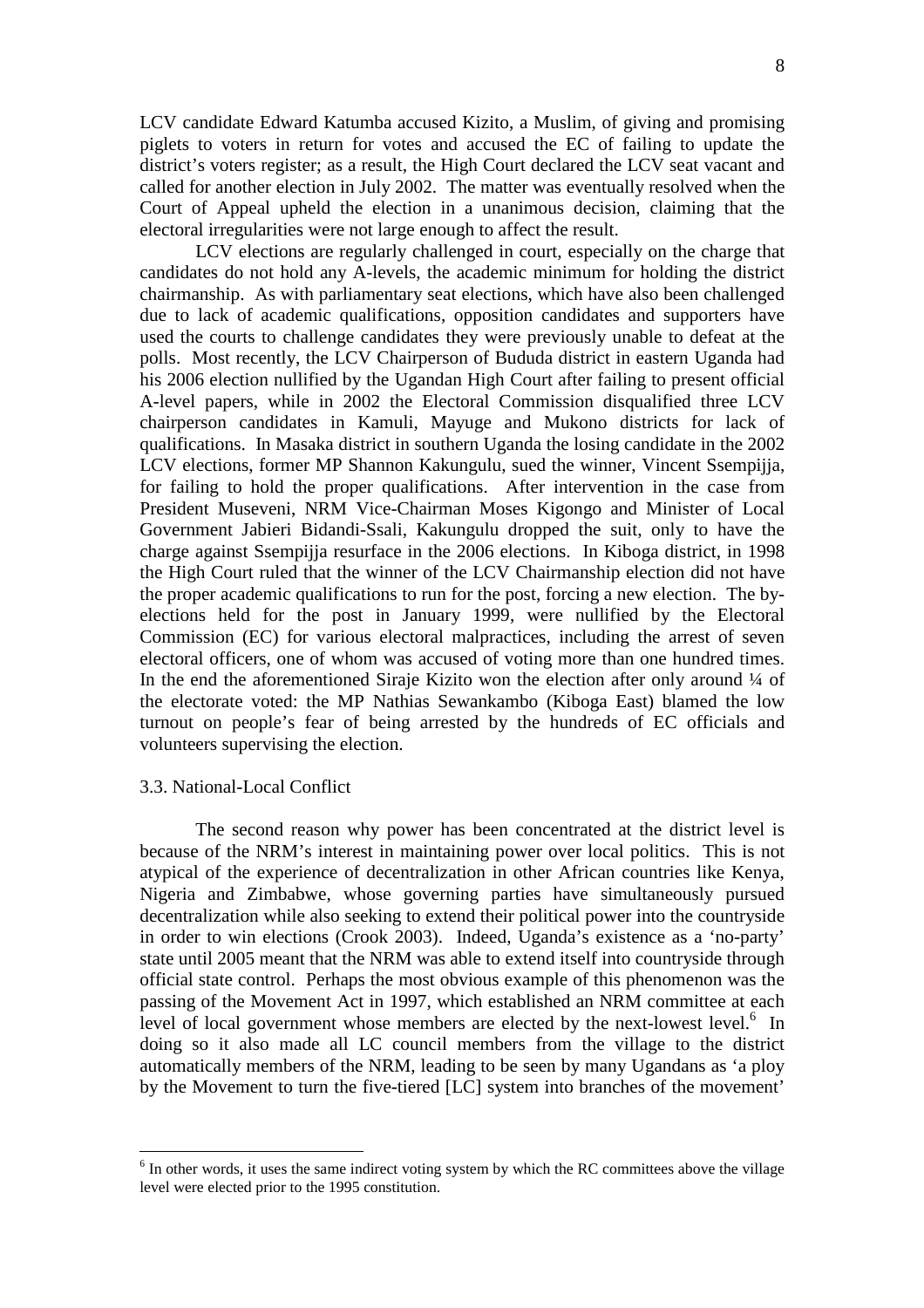LCV candidate Edward Katumba accused Kizito, a Muslim, of giving and promising piglets to voters in return for votes and accused the EC of failing to update the district's voters register; as a result, the High Court declared the LCV seat vacant and called for another election in July 2002. The matter was eventually resolved when the Court of Appeal upheld the election in a unanimous decision, claiming that the electoral irregularities were not large enough to affect the result.

LCV elections are regularly challenged in court, especially on the charge that candidates do not hold any A-levels, the academic minimum for holding the district chairmanship. As with parliamentary seat elections, which have also been challenged due to lack of academic qualifications, opposition candidates and supporters have used the courts to challenge candidates they were previously unable to defeat at the polls. Most recently, the LCV Chairperson of Bududa district in eastern Uganda had his 2006 election nullified by the Ugandan High Court after failing to present official A-level papers, while in 2002 the Electoral Commission disqualified three LCV chairperson candidates in Kamuli, Mayuge and Mukono districts for lack of qualifications. In Masaka district in southern Uganda the losing candidate in the 2002 LCV elections, former MP Shannon Kakungulu, sued the winner, Vincent Ssempijja, for failing to hold the proper qualifications. After intervention in the case from President Museveni, NRM Vice-Chairman Moses Kigongo and Minister of Local Government Jabieri Bidandi-Ssali, Kakungulu dropped the suit, only to have the charge against Ssempijja resurface in the 2006 elections. In Kiboga district, in 1998 the High Court ruled that the winner of the LCV Chairmanship election did not have the proper academic qualifications to run for the post, forcing a new election. The byelections held for the post in January 1999, were nullified by the Electoral Commission (EC) for various electoral malpractices, including the arrest of seven electoral officers, one of whom was accused of voting more than one hundred times. In the end the aforementioned Siraje Kizito won the election after only around  $\frac{1}{4}$  of the electorate voted: the MP Nathias Sewankambo (Kiboga East) blamed the low turnout on people's fear of being arrested by the hundreds of EC officials and volunteers supervising the election.

## 3.3. National-Local Conflict

 $\overline{a}$ 

The second reason why power has been concentrated at the district level is because of the NRM's interest in maintaining power over local politics. This is not atypical of the experience of decentralization in other African countries like Kenya, Nigeria and Zimbabwe, whose governing parties have simultaneously pursued decentralization while also seeking to extend their political power into the countryside in order to win elections (Crook 2003). Indeed, Uganda's existence as a 'no-party' state until 2005 meant that the NRM was able to extend itself into countryside through official state control. Perhaps the most obvious example of this phenomenon was the passing of the Movement Act in 1997, which established an NRM committee at each level of local government whose members are elected by the next-lowest level.<sup>6</sup> In doing so it also made all LC council members from the village to the district automatically members of the NRM, leading to be seen by many Ugandans as 'a ploy by the Movement to turn the five-tiered [LC] system into branches of the movement'

<sup>&</sup>lt;sup>6</sup> In other words, it uses the same indirect voting system by which the RC committees above the village level were elected prior to the 1995 constitution.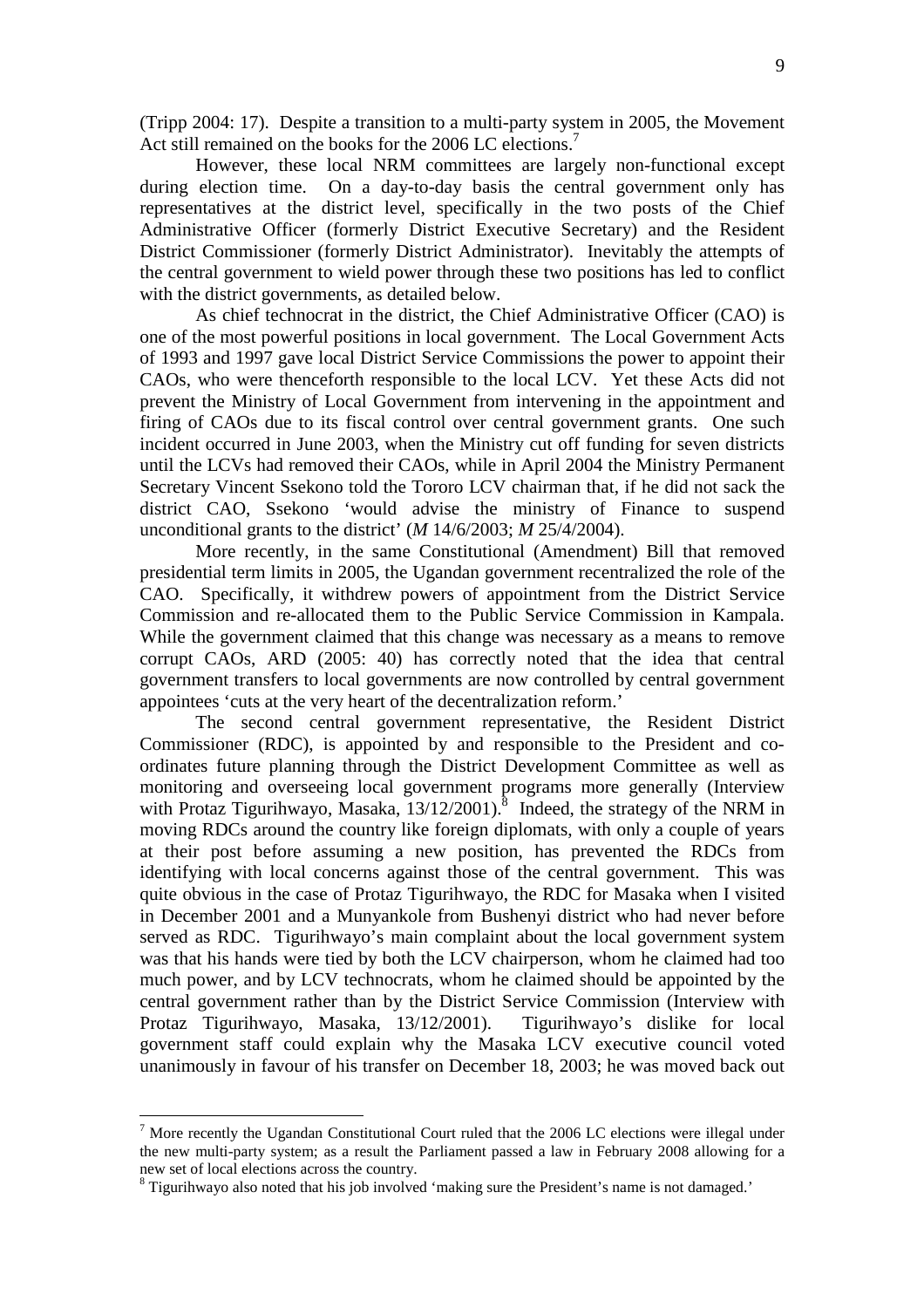However, these local NRM committees are largely non-functional except during election time. On a day-to-day basis the central government only has representatives at the district level, specifically in the two posts of the Chief Administrative Officer (formerly District Executive Secretary) and the Resident District Commissioner (formerly District Administrator). Inevitably the attempts of the central government to wield power through these two positions has led to conflict with the district governments, as detailed below.

As chief technocrat in the district, the Chief Administrative Officer (CAO) is one of the most powerful positions in local government. The Local Government Acts of 1993 and 1997 gave local District Service Commissions the power to appoint their CAOs, who were thenceforth responsible to the local LCV. Yet these Acts did not prevent the Ministry of Local Government from intervening in the appointment and firing of CAOs due to its fiscal control over central government grants. One such incident occurred in June 2003, when the Ministry cut off funding for seven districts until the LCVs had removed their CAOs, while in April 2004 the Ministry Permanent Secretary Vincent Ssekono told the Tororo LCV chairman that, if he did not sack the district CAO, Ssekono 'would advise the ministry of Finance to suspend unconditional grants to the district' (*M* 14/6/2003; *M* 25/4/2004).

More recently, in the same Constitutional (Amendment) Bill that removed presidential term limits in 2005, the Ugandan government recentralized the role of the CAO. Specifically, it withdrew powers of appointment from the District Service Commission and re-allocated them to the Public Service Commission in Kampala. While the government claimed that this change was necessary as a means to remove corrupt CAOs, ARD (2005: 40) has correctly noted that the idea that central government transfers to local governments are now controlled by central government appointees 'cuts at the very heart of the decentralization reform.'

The second central government representative, the Resident District Commissioner (RDC), is appointed by and responsible to the President and coordinates future planning through the District Development Committee as well as monitoring and overseeing local government programs more generally (Interview with Protaz Tigurihwayo, Masaka,  $13/12/2001$ ).<sup>8</sup> Indeed, the strategy of the NRM in moving RDCs around the country like foreign diplomats, with only a couple of years at their post before assuming a new position, has prevented the RDCs from identifying with local concerns against those of the central government. This was quite obvious in the case of Protaz Tigurihwayo, the RDC for Masaka when I visited in December 2001 and a Munyankole from Bushenyi district who had never before served as RDC. Tigurihwayo's main complaint about the local government system was that his hands were tied by both the LCV chairperson, whom he claimed had too much power, and by LCV technocrats, whom he claimed should be appointed by the central government rather than by the District Service Commission (Interview with Protaz Tigurihwayo, Masaka, 13/12/2001). Tigurihwayo's dislike for local government staff could explain why the Masaka LCV executive council voted unanimously in favour of his transfer on December 18, 2003; he was moved back out

 $\overline{a}$ 

 $<sup>7</sup>$  More recently the Ugandan Constitutional Court ruled that the 2006 LC elections were illegal under</sup> the new multi-party system; as a result the Parliament passed a law in February 2008 allowing for a new set of local elections across the country.

 $8$  Tigurihwayo also noted that his job involved 'making sure the President's name is not damaged.'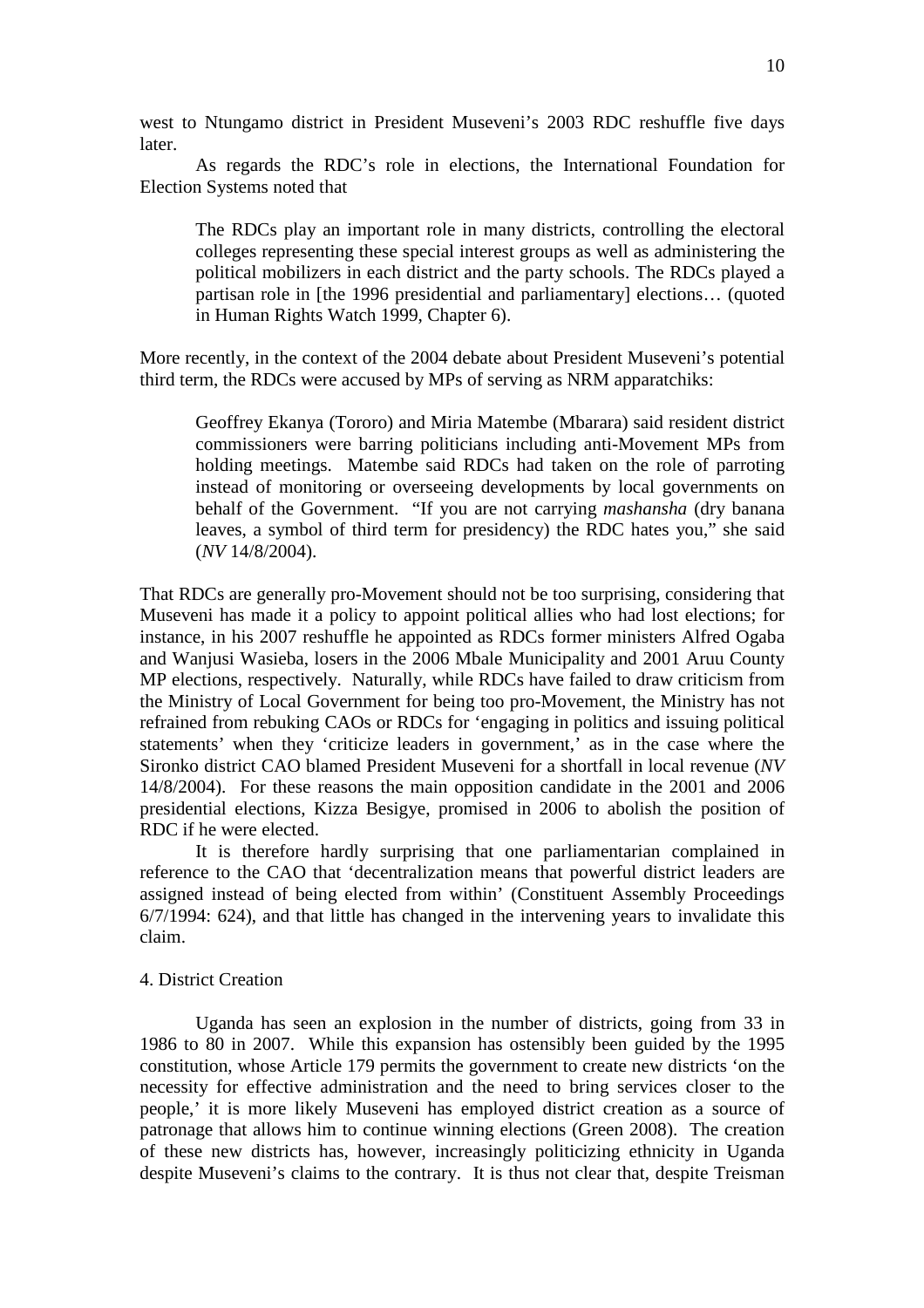west to Ntungamo district in President Museveni's 2003 RDC reshuffle five days later.

As regards the RDC's role in elections, the International Foundation for Election Systems noted that

The RDCs play an important role in many districts, controlling the electoral colleges representing these special interest groups as well as administering the political mobilizers in each district and the party schools. The RDCs played a partisan role in [the 1996 presidential and parliamentary] elections… (quoted in Human Rights Watch 1999, Chapter 6).

More recently, in the context of the 2004 debate about President Museveni's potential third term, the RDCs were accused by MPs of serving as NRM apparatchiks:

Geoffrey Ekanya (Tororo) and Miria Matembe (Mbarara) said resident district commissioners were barring politicians including anti-Movement MPs from holding meetings. Matembe said RDCs had taken on the role of parroting instead of monitoring or overseeing developments by local governments on behalf of the Government. "If you are not carrying *mashansha* (dry banana leaves, a symbol of third term for presidency) the RDC hates you," she said (*NV* 14/8/2004).

That RDCs are generally pro-Movement should not be too surprising, considering that Museveni has made it a policy to appoint political allies who had lost elections; for instance, in his 2007 reshuffle he appointed as RDCs former ministers Alfred Ogaba and Wanjusi Wasieba, losers in the 2006 Mbale Municipality and 2001 Aruu County MP elections, respectively. Naturally, while RDCs have failed to draw criticism from the Ministry of Local Government for being too pro-Movement, the Ministry has not refrained from rebuking CAOs or RDCs for 'engaging in politics and issuing political statements' when they 'criticize leaders in government,' as in the case where the Sironko district CAO blamed President Museveni for a shortfall in local revenue (*NV* 14/8/2004). For these reasons the main opposition candidate in the 2001 and 2006 presidential elections, Kizza Besigye, promised in 2006 to abolish the position of RDC if he were elected.

 It is therefore hardly surprising that one parliamentarian complained in reference to the CAO that 'decentralization means that powerful district leaders are assigned instead of being elected from within' (Constituent Assembly Proceedings 6/7/1994: 624), and that little has changed in the intervening years to invalidate this claim.

#### 4. District Creation

Uganda has seen an explosion in the number of districts, going from 33 in 1986 to 80 in 2007. While this expansion has ostensibly been guided by the 1995 constitution, whose Article 179 permits the government to create new districts 'on the necessity for effective administration and the need to bring services closer to the people,' it is more likely Museveni has employed district creation as a source of patronage that allows him to continue winning elections (Green 2008). The creation of these new districts has, however, increasingly politicizing ethnicity in Uganda despite Museveni's claims to the contrary. It is thus not clear that, despite Treisman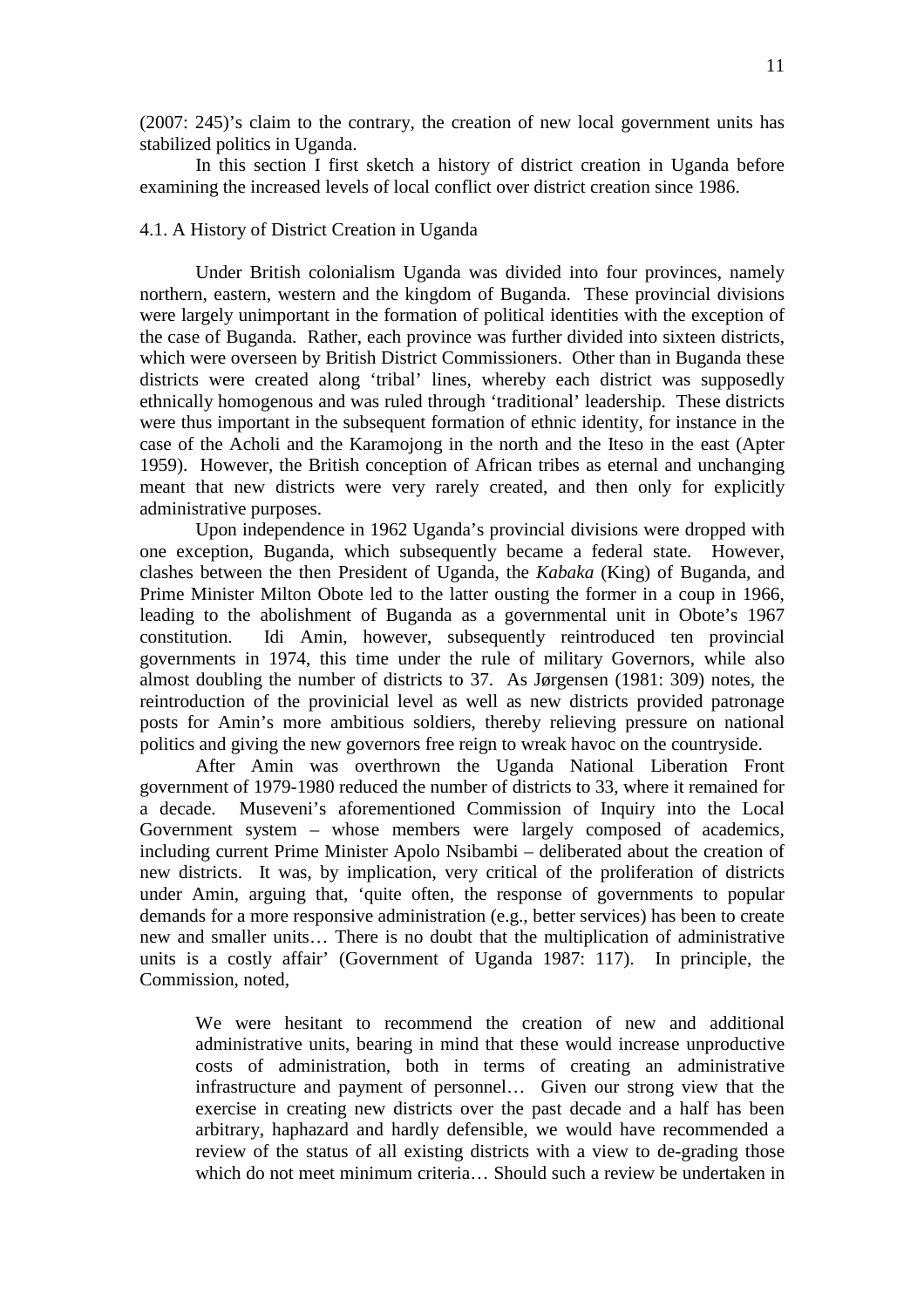(2007: 245)'s claim to the contrary, the creation of new local government units has stabilized politics in Uganda.

In this section I first sketch a history of district creation in Uganda before examining the increased levels of local conflict over district creation since 1986.

# 4.1. A History of District Creation in Uganda

 Under British colonialism Uganda was divided into four provinces, namely northern, eastern, western and the kingdom of Buganda. These provincial divisions were largely unimportant in the formation of political identities with the exception of the case of Buganda. Rather, each province was further divided into sixteen districts, which were overseen by British District Commissioners. Other than in Buganda these districts were created along 'tribal' lines, whereby each district was supposedly ethnically homogenous and was ruled through 'traditional' leadership. These districts were thus important in the subsequent formation of ethnic identity, for instance in the case of the Acholi and the Karamojong in the north and the Iteso in the east (Apter 1959). However, the British conception of African tribes as eternal and unchanging meant that new districts were very rarely created, and then only for explicitly administrative purposes.

Upon independence in 1962 Uganda's provincial divisions were dropped with one exception, Buganda, which subsequently became a federal state. However, clashes between the then President of Uganda, the *Kabaka* (King) of Buganda, and Prime Minister Milton Obote led to the latter ousting the former in a coup in 1966, leading to the abolishment of Buganda as a governmental unit in Obote's 1967 constitution. Idi Amin, however, subsequently reintroduced ten provincial governments in 1974, this time under the rule of military Governors, while also almost doubling the number of districts to 37. As Jørgensen (1981: 309) notes, the reintroduction of the provinicial level as well as new districts provided patronage posts for Amin's more ambitious soldiers, thereby relieving pressure on national politics and giving the new governors free reign to wreak havoc on the countryside.

After Amin was overthrown the Uganda National Liberation Front government of 1979-1980 reduced the number of districts to 33, where it remained for a decade. Museveni's aforementioned Commission of Inquiry into the Local Government system – whose members were largely composed of academics, including current Prime Minister Apolo Nsibambi – deliberated about the creation of new districts. It was, by implication, very critical of the proliferation of districts under Amin, arguing that, 'quite often, the response of governments to popular demands for a more responsive administration (e.g., better services) has been to create new and smaller units… There is no doubt that the multiplication of administrative units is a costly affair' (Government of Uganda 1987: 117). In principle, the Commission, noted,

We were hesitant to recommend the creation of new and additional administrative units, bearing in mind that these would increase unproductive costs of administration, both in terms of creating an administrative infrastructure and payment of personnel… Given our strong view that the exercise in creating new districts over the past decade and a half has been arbitrary, haphazard and hardly defensible, we would have recommended a review of the status of all existing districts with a view to de-grading those which do not meet minimum criteria… Should such a review be undertaken in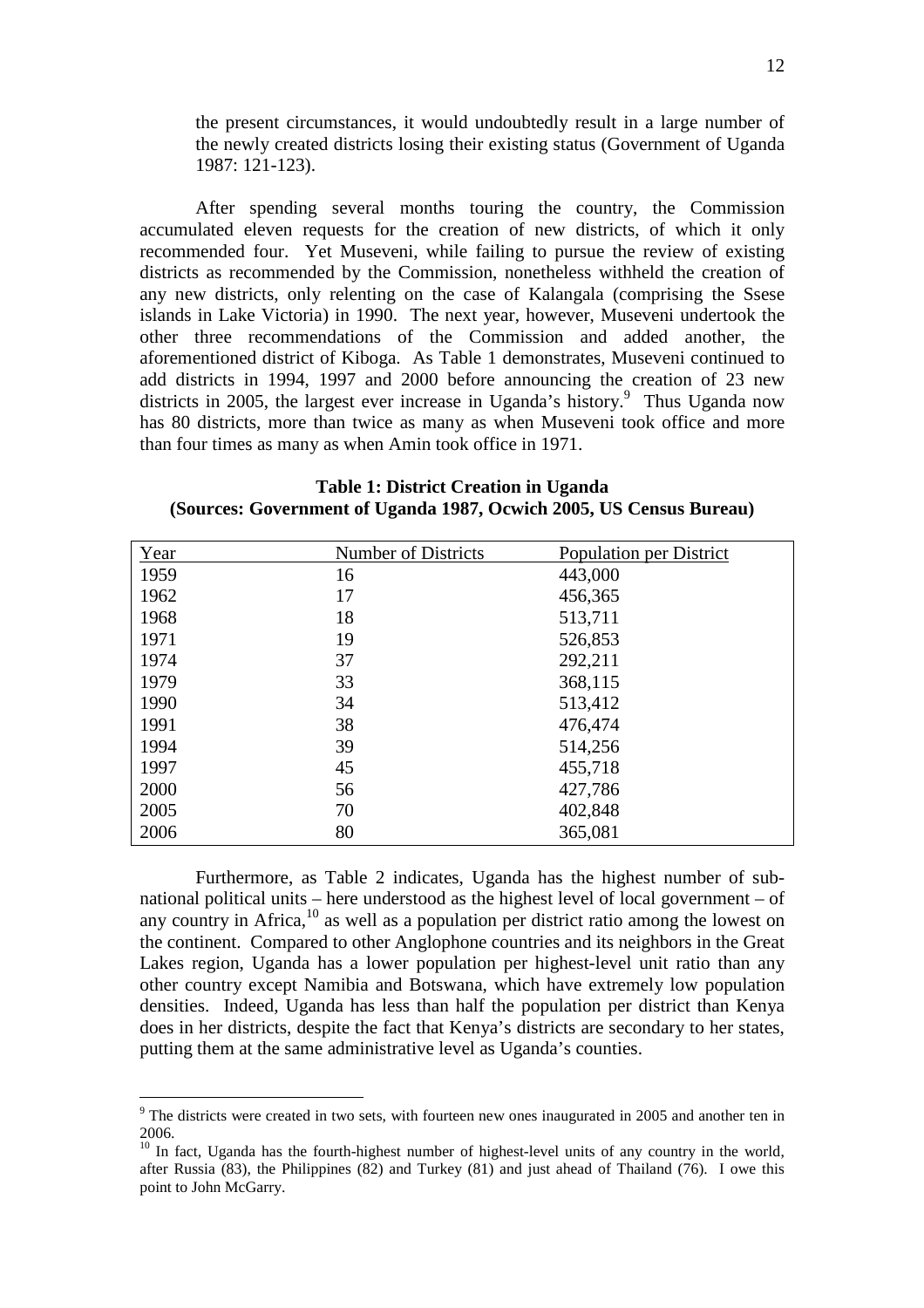the present circumstances, it would undoubtedly result in a large number of the newly created districts losing their existing status (Government of Uganda 1987: 121-123).

After spending several months touring the country, the Commission accumulated eleven requests for the creation of new districts, of which it only recommended four. Yet Museveni, while failing to pursue the review of existing districts as recommended by the Commission, nonetheless withheld the creation of any new districts, only relenting on the case of Kalangala (comprising the Ssese islands in Lake Victoria) in 1990. The next year, however, Museveni undertook the other three recommendations of the Commission and added another, the aforementioned district of Kiboga. As Table 1 demonstrates, Museveni continued to add districts in 1994, 1997 and 2000 before announcing the creation of 23 new districts in 2005, the largest ever increase in Uganda's history.<sup>9</sup> Thus Uganda now has 80 districts, more than twice as many as when Museveni took office and more than four times as many as when Amin took office in 1971.

| <b>Table 1: District Creation in Uganda</b>                         |
|---------------------------------------------------------------------|
| (Sources: Government of Uganda 1987, Ocwich 2005, US Census Bureau) |

| Year | <b>Number of Districts</b> | Population per District |
|------|----------------------------|-------------------------|
| 1959 | 16                         | 443,000                 |
| 1962 | 17                         | 456,365                 |
| 1968 | 18                         | 513,711                 |
| 1971 | 19                         | 526,853                 |
| 1974 | 37                         | 292,211                 |
| 1979 | 33                         | 368,115                 |
| 1990 | 34                         | 513,412                 |
| 1991 | 38                         | 476,474                 |
| 1994 | 39                         | 514,256                 |
| 1997 | 45                         | 455,718                 |
| 2000 | 56                         | 427,786                 |
| 2005 | 70                         | 402,848                 |
| 2006 | 80                         | 365,081                 |

Furthermore, as Table 2 indicates, Uganda has the highest number of subnational political units – here understood as the highest level of local government – of any country in Africa,  $\frac{10}{10}$  as well as a population per district ratio among the lowest on the continent. Compared to other Anglophone countries and its neighbors in the Great Lakes region, Uganda has a lower population per highest-level unit ratio than any other country except Namibia and Botswana, which have extremely low population densities. Indeed, Uganda has less than half the population per district than Kenya does in her districts, despite the fact that Kenya's districts are secondary to her states, putting them at the same administrative level as Uganda's counties.

<sup>&</sup>lt;sup>9</sup> The districts were created in two sets, with fourteen new ones inaugurated in 2005 and another ten in 2006.

 $10$  In fact, Uganda has the fourth-highest number of highest-level units of any country in the world, after Russia (83), the Philippines (82) and Turkey (81) and just ahead of Thailand (76). I owe this point to John McGarry.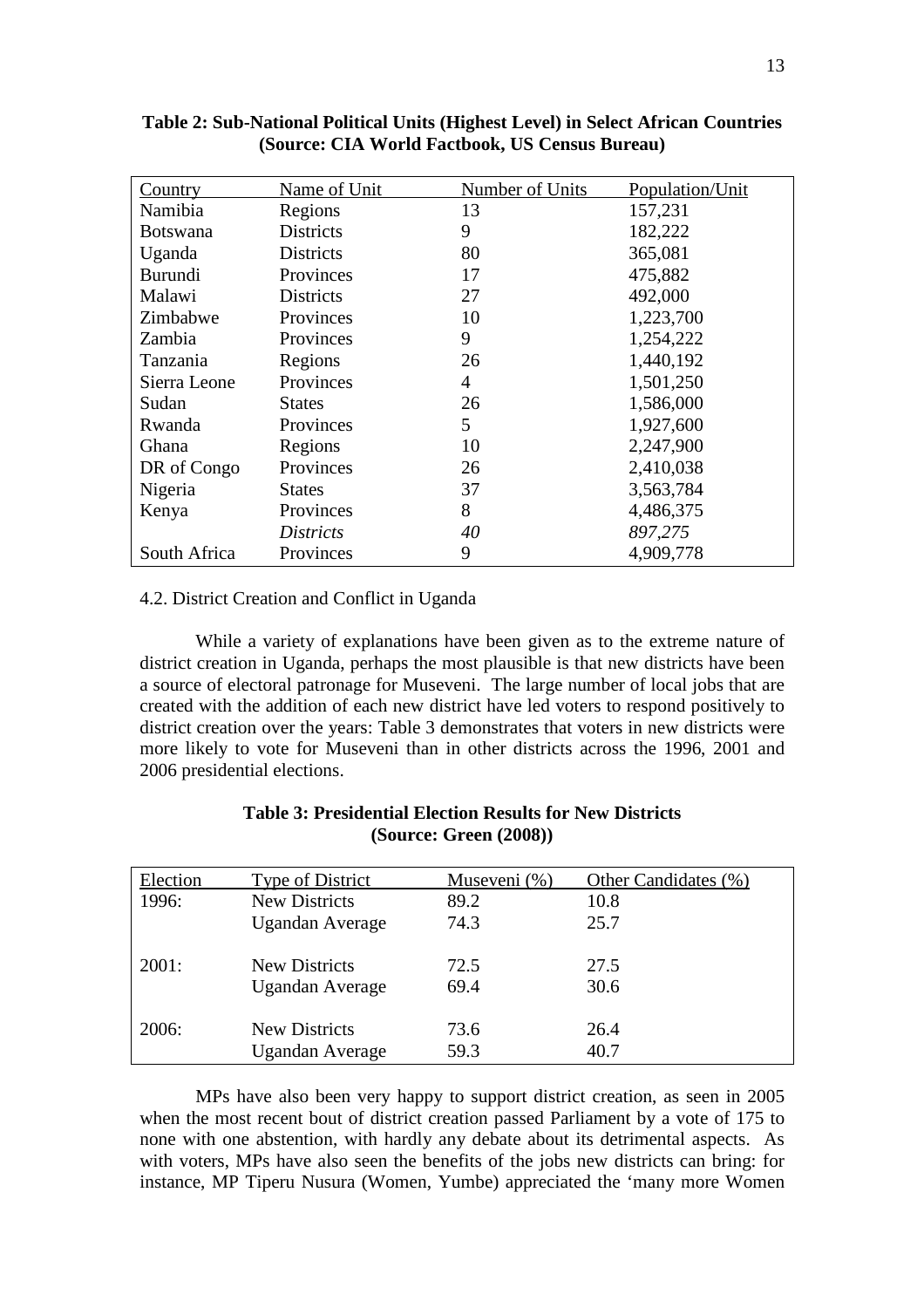| Country         | Name of Unit     | Number of Units | Population/Unit |
|-----------------|------------------|-----------------|-----------------|
| Namibia         | Regions          | 13              | 157,231         |
| <b>Botswana</b> | <b>Districts</b> | 9               | 182,222         |
| Uganda          | <b>Districts</b> | 80              | 365,081         |
| <b>Burundi</b>  | Provinces        | 17              | 475,882         |
| Malawi          | <b>Districts</b> | 27              | 492,000         |
| Zimbabwe        | Provinces        | 10              | 1,223,700       |
| Zambia          | Provinces        | 9               | 1,254,222       |
| Tanzania        | Regions          | 26              | 1,440,192       |
| Sierra Leone    | Provinces        | 4               | 1,501,250       |
| Sudan           | <b>States</b>    | 26              | 1,586,000       |
| Rwanda          | Provinces        | 5               | 1,927,600       |
| Ghana           | Regions          | 10              | 2,247,900       |
| DR of Congo     | Provinces        | 26              | 2,410,038       |
| Nigeria         | <b>States</b>    | 37              | 3,563,784       |
| Kenya           | Provinces        | 8               | 4,486,375       |
|                 | <i>Districts</i> | 40              | 897,275         |
| South Africa    | Provinces        | 9               | 4,909,778       |

**Table 2: Sub-National Political Units (Highest Level) in Select African Countries (Source: CIA World Factbook, US Census Bureau)** 

## 4.2. District Creation and Conflict in Uganda

While a variety of explanations have been given as to the extreme nature of district creation in Uganda, perhaps the most plausible is that new districts have been a source of electoral patronage for Museveni. The large number of local jobs that are created with the addition of each new district have led voters to respond positively to district creation over the years: Table 3 demonstrates that voters in new districts were more likely to vote for Museveni than in other districts across the 1996, 2001 and 2006 presidential elections.

| Election | Type of District       | Museveni (%) | Other Candidates (%) |
|----------|------------------------|--------------|----------------------|
| 1996:    | <b>New Districts</b>   | 89.2         | 10.8                 |
|          | Ugandan Average        | 74.3         | 25.7                 |
| 2001:    | New Districts          | 72.5         | 27.5                 |
|          | Ugandan Average        | 69.4         | 30.6                 |
| 2006:    | <b>New Districts</b>   | 73.6         | 26.4                 |
|          | <b>Ugandan Average</b> | 59.3         | 40.7                 |

# **Table 3: Presidential Election Results for New Districts (Source: Green (2008))**

MPs have also been very happy to support district creation, as seen in 2005 when the most recent bout of district creation passed Parliament by a vote of 175 to none with one abstention, with hardly any debate about its detrimental aspects. As with voters, MPs have also seen the benefits of the jobs new districts can bring: for instance, MP Tiperu Nusura (Women, Yumbe) appreciated the 'many more Women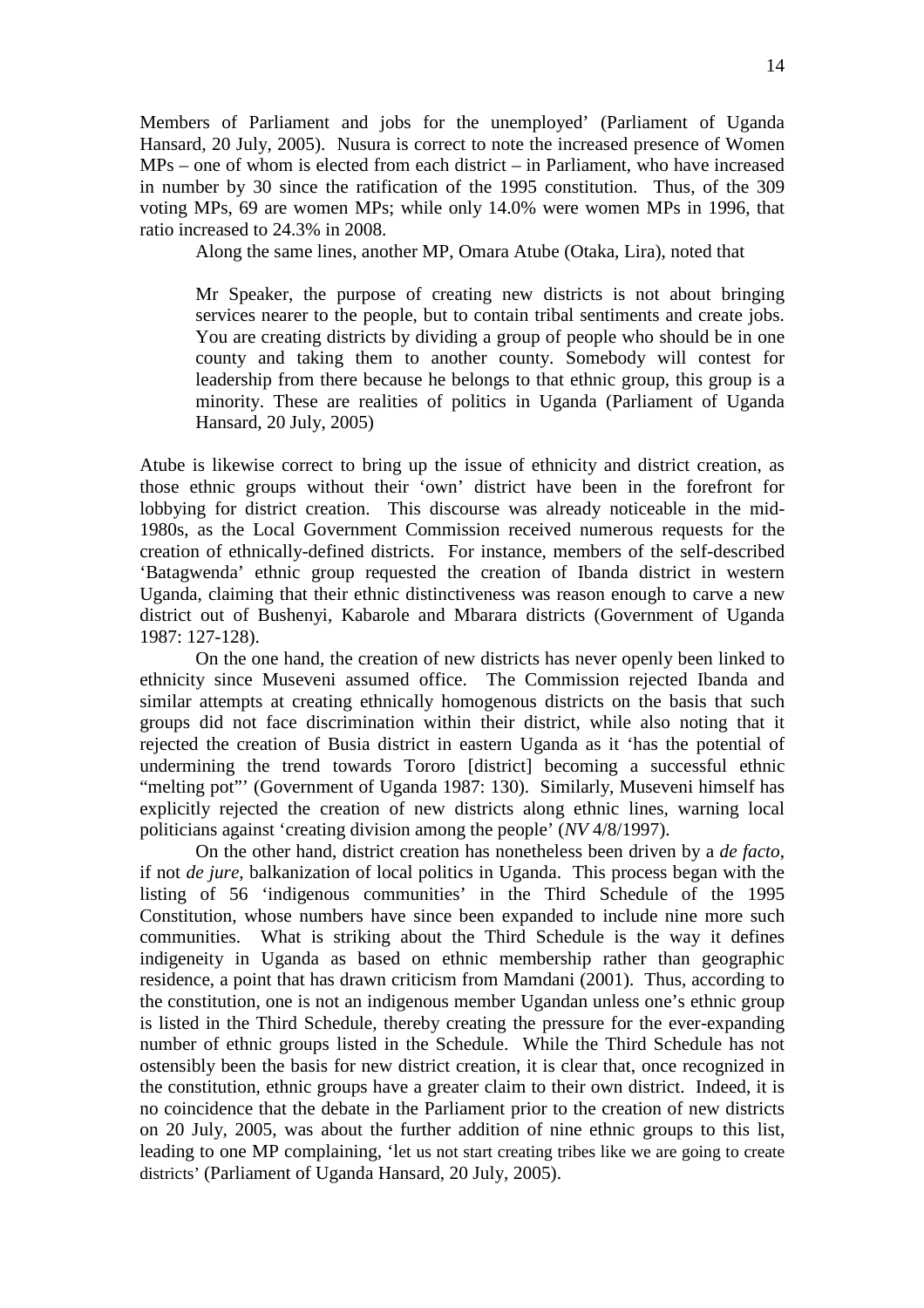Members of Parliament and jobs for the unemployed' (Parliament of Uganda Hansard, 20 July, 2005). Nusura is correct to note the increased presence of Women MPs – one of whom is elected from each district – in Parliament, who have increased in number by 30 since the ratification of the 1995 constitution. Thus, of the 309 voting MPs, 69 are women MPs; while only 14.0% were women MPs in 1996, that ratio increased to 24.3% in 2008.

Along the same lines, another MP, Omara Atube (Otaka, Lira), noted that

Mr Speaker, the purpose of creating new districts is not about bringing services nearer to the people, but to contain tribal sentiments and create jobs. You are creating districts by dividing a group of people who should be in one county and taking them to another county. Somebody will contest for leadership from there because he belongs to that ethnic group, this group is a minority. These are realities of politics in Uganda (Parliament of Uganda Hansard, 20 July, 2005)

Atube is likewise correct to bring up the issue of ethnicity and district creation, as those ethnic groups without their 'own' district have been in the forefront for lobbying for district creation. This discourse was already noticeable in the mid-1980s, as the Local Government Commission received numerous requests for the creation of ethnically-defined districts. For instance, members of the self-described 'Batagwenda' ethnic group requested the creation of Ibanda district in western Uganda, claiming that their ethnic distinctiveness was reason enough to carve a new district out of Bushenyi, Kabarole and Mbarara districts (Government of Uganda 1987: 127-128).

 On the one hand, the creation of new districts has never openly been linked to ethnicity since Museveni assumed office. The Commission rejected Ibanda and similar attempts at creating ethnically homogenous districts on the basis that such groups did not face discrimination within their district, while also noting that it rejected the creation of Busia district in eastern Uganda as it 'has the potential of undermining the trend towards Tororo [district] becoming a successful ethnic "melting pot"' (Government of Uganda 1987: 130). Similarly, Museveni himself has explicitly rejected the creation of new districts along ethnic lines, warning local politicians against 'creating division among the people' (*NV* 4/8/1997).

On the other hand, district creation has nonetheless been driven by a *de facto*, if not *de jure*, balkanization of local politics in Uganda. This process began with the listing of 56 'indigenous communities' in the Third Schedule of the 1995 Constitution, whose numbers have since been expanded to include nine more such communities. What is striking about the Third Schedule is the way it defines indigeneity in Uganda as based on ethnic membership rather than geographic residence, a point that has drawn criticism from Mamdani (2001). Thus, according to the constitution, one is not an indigenous member Ugandan unless one's ethnic group is listed in the Third Schedule, thereby creating the pressure for the ever-expanding number of ethnic groups listed in the Schedule. While the Third Schedule has not ostensibly been the basis for new district creation, it is clear that, once recognized in the constitution, ethnic groups have a greater claim to their own district. Indeed, it is no coincidence that the debate in the Parliament prior to the creation of new districts on 20 July, 2005, was about the further addition of nine ethnic groups to this list, leading to one MP complaining, 'let us not start creating tribes like we are going to create districts' (Parliament of Uganda Hansard, 20 July, 2005).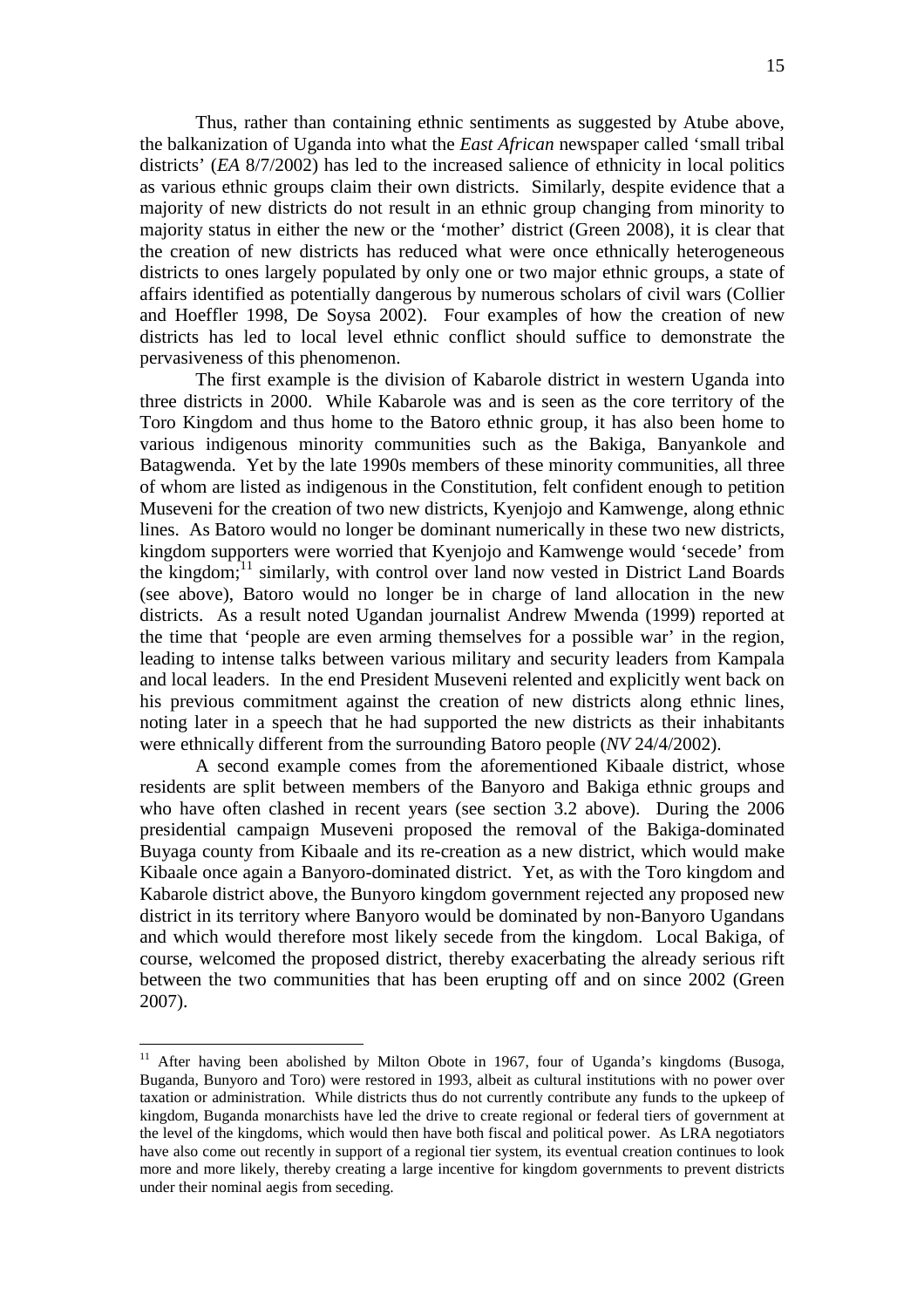Thus, rather than containing ethnic sentiments as suggested by Atube above, the balkanization of Uganda into what the *East African* newspaper called 'small tribal districts' (*EA* 8/7/2002) has led to the increased salience of ethnicity in local politics as various ethnic groups claim their own districts. Similarly, despite evidence that a majority of new districts do not result in an ethnic group changing from minority to majority status in either the new or the 'mother' district (Green 2008), it is clear that the creation of new districts has reduced what were once ethnically heterogeneous districts to ones largely populated by only one or two major ethnic groups, a state of affairs identified as potentially dangerous by numerous scholars of civil wars (Collier and Hoeffler 1998, De Soysa 2002). Four examples of how the creation of new districts has led to local level ethnic conflict should suffice to demonstrate the pervasiveness of this phenomenon.

The first example is the division of Kabarole district in western Uganda into three districts in 2000. While Kabarole was and is seen as the core territory of the Toro Kingdom and thus home to the Batoro ethnic group, it has also been home to various indigenous minority communities such as the Bakiga, Banyankole and Batagwenda. Yet by the late 1990s members of these minority communities, all three of whom are listed as indigenous in the Constitution, felt confident enough to petition Museveni for the creation of two new districts, Kyenjojo and Kamwenge, along ethnic lines. As Batoro would no longer be dominant numerically in these two new districts, kingdom supporters were worried that Kyenjojo and Kamwenge would 'secede' from the kingdom;<sup>11</sup> similarly, with control over land now vested in District Land Boards (see above), Batoro would no longer be in charge of land allocation in the new districts. As a result noted Ugandan journalist Andrew Mwenda (1999) reported at the time that 'people are even arming themselves for a possible war' in the region, leading to intense talks between various military and security leaders from Kampala and local leaders. In the end President Museveni relented and explicitly went back on his previous commitment against the creation of new districts along ethnic lines, noting later in a speech that he had supported the new districts as their inhabitants were ethnically different from the surrounding Batoro people (*NV* 24/4/2002).

A second example comes from the aforementioned Kibaale district, whose residents are split between members of the Banyoro and Bakiga ethnic groups and who have often clashed in recent years (see section 3.2 above). During the 2006 presidential campaign Museveni proposed the removal of the Bakiga-dominated Buyaga county from Kibaale and its re-creation as a new district, which would make Kibaale once again a Banyoro-dominated district. Yet, as with the Toro kingdom and Kabarole district above, the Bunyoro kingdom government rejected any proposed new district in its territory where Banyoro would be dominated by non-Banyoro Ugandans and which would therefore most likely secede from the kingdom. Local Bakiga, of course, welcomed the proposed district, thereby exacerbating the already serious rift between the two communities that has been erupting off and on since 2002 (Green 2007).

 $\overline{a}$ 

<sup>&</sup>lt;sup>11</sup> After having been abolished by Milton Obote in 1967, four of Uganda's kingdoms (Busoga, Buganda, Bunyoro and Toro) were restored in 1993, albeit as cultural institutions with no power over taxation or administration. While districts thus do not currently contribute any funds to the upkeep of kingdom, Buganda monarchists have led the drive to create regional or federal tiers of government at the level of the kingdoms, which would then have both fiscal and political power. As LRA negotiators have also come out recently in support of a regional tier system, its eventual creation continues to look more and more likely, thereby creating a large incentive for kingdom governments to prevent districts under their nominal aegis from seceding.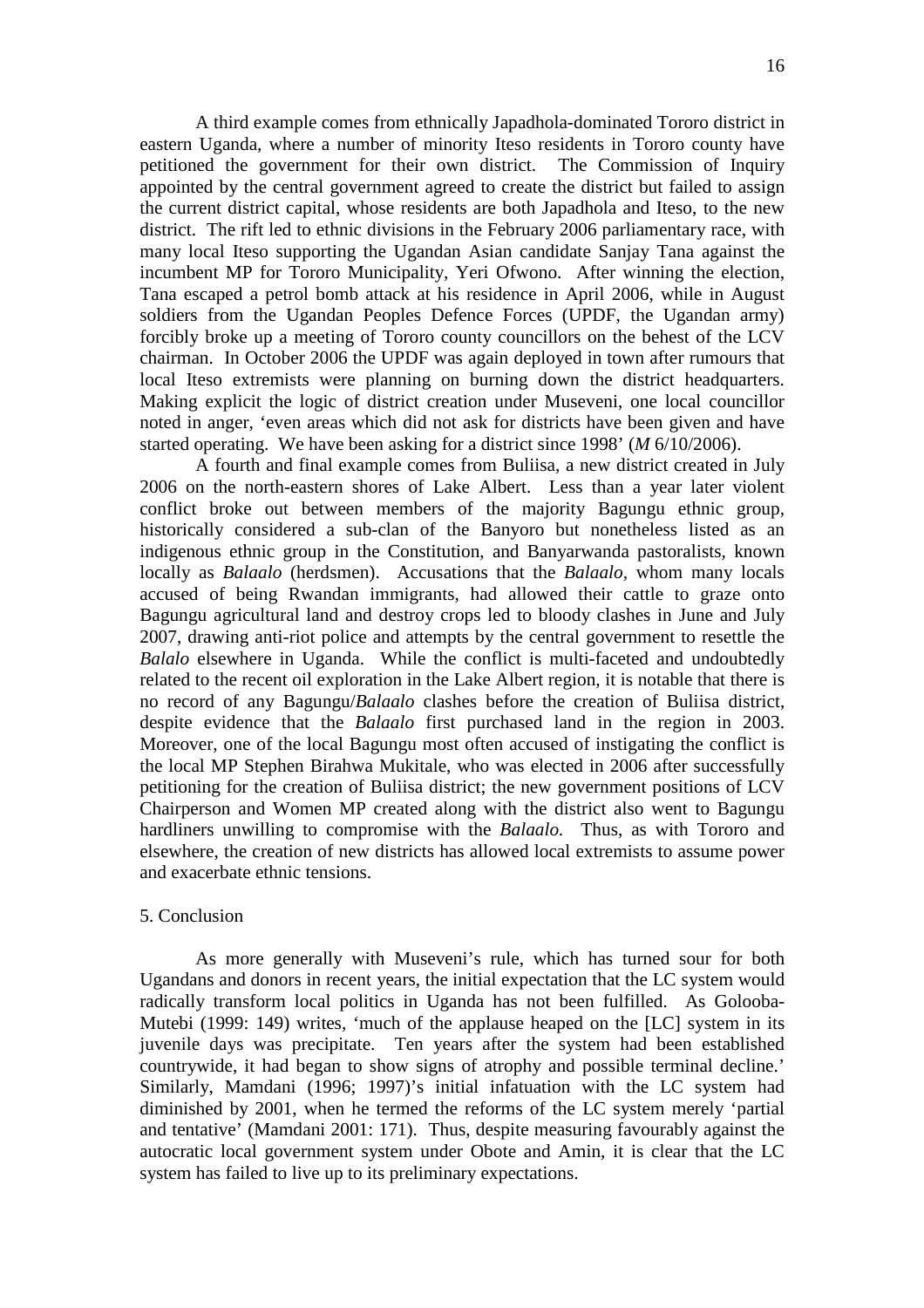A third example comes from ethnically Japadhola-dominated Tororo district in eastern Uganda, where a number of minority Iteso residents in Tororo county have petitioned the government for their own district. The Commission of Inquiry appointed by the central government agreed to create the district but failed to assign the current district capital, whose residents are both Japadhola and Iteso, to the new district. The rift led to ethnic divisions in the February 2006 parliamentary race, with many local Iteso supporting the Ugandan Asian candidate Sanjay Tana against the incumbent MP for Tororo Municipality, Yeri Ofwono. After winning the election, Tana escaped a petrol bomb attack at his residence in April 2006, while in August soldiers from the Ugandan Peoples Defence Forces (UPDF, the Ugandan army) forcibly broke up a meeting of Tororo county councillors on the behest of the LCV chairman. In October 2006 the UPDF was again deployed in town after rumours that local Iteso extremists were planning on burning down the district headquarters. Making explicit the logic of district creation under Museveni, one local councillor noted in anger, 'even areas which did not ask for districts have been given and have started operating. We have been asking for a district since 1998' (*M* 6/10/2006).

A fourth and final example comes from Buliisa, a new district created in July 2006 on the north-eastern shores of Lake Albert. Less than a year later violent conflict broke out between members of the majority Bagungu ethnic group, historically considered a sub-clan of the Banyoro but nonetheless listed as an indigenous ethnic group in the Constitution, and Banyarwanda pastoralists, known locally as *Balaalo* (herdsmen). Accusations that the *Balaalo,* whom many locals accused of being Rwandan immigrants, had allowed their cattle to graze onto Bagungu agricultural land and destroy crops led to bloody clashes in June and July 2007, drawing anti-riot police and attempts by the central government to resettle the *Balalo* elsewhere in Uganda. While the conflict is multi-faceted and undoubtedly related to the recent oil exploration in the Lake Albert region, it is notable that there is no record of any Bagungu/*Balaalo* clashes before the creation of Buliisa district, despite evidence that the *Balaalo* first purchased land in the region in 2003. Moreover, one of the local Bagungu most often accused of instigating the conflict is the local MP Stephen Birahwa Mukitale, who was elected in 2006 after successfully petitioning for the creation of Buliisa district; the new government positions of LCV Chairperson and Women MP created along with the district also went to Bagungu hardliners unwilling to compromise with the *Balaalo.* Thus, as with Tororo and elsewhere, the creation of new districts has allowed local extremists to assume power and exacerbate ethnic tensions.

## 5. Conclusion

 As more generally with Museveni's rule, which has turned sour for both Ugandans and donors in recent years, the initial expectation that the LC system would radically transform local politics in Uganda has not been fulfilled. As Golooba-Mutebi (1999: 149) writes, 'much of the applause heaped on the [LC] system in its juvenile days was precipitate. Ten years after the system had been established countrywide, it had began to show signs of atrophy and possible terminal decline.' Similarly, Mamdani (1996; 1997)'s initial infatuation with the LC system had diminished by 2001, when he termed the reforms of the LC system merely 'partial and tentative' (Mamdani 2001: 171). Thus, despite measuring favourably against the autocratic local government system under Obote and Amin, it is clear that the LC system has failed to live up to its preliminary expectations.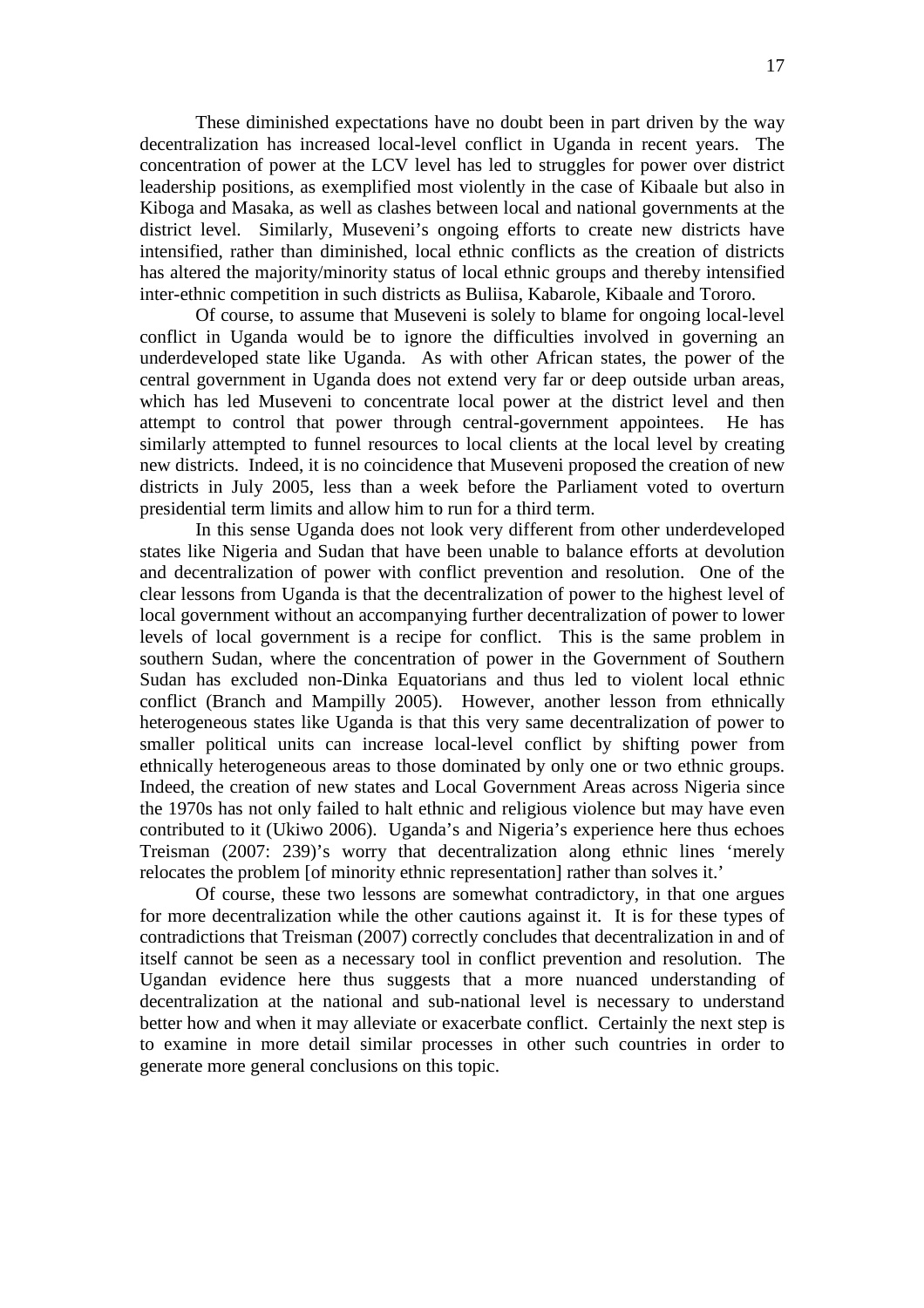These diminished expectations have no doubt been in part driven by the way decentralization has increased local-level conflict in Uganda in recent years. The concentration of power at the LCV level has led to struggles for power over district leadership positions, as exemplified most violently in the case of Kibaale but also in Kiboga and Masaka, as well as clashes between local and national governments at the district level. Similarly, Museveni's ongoing efforts to create new districts have intensified, rather than diminished, local ethnic conflicts as the creation of districts has altered the majority/minority status of local ethnic groups and thereby intensified inter-ethnic competition in such districts as Buliisa, Kabarole, Kibaale and Tororo.

Of course, to assume that Museveni is solely to blame for ongoing local-level conflict in Uganda would be to ignore the difficulties involved in governing an underdeveloped state like Uganda. As with other African states, the power of the central government in Uganda does not extend very far or deep outside urban areas, which has led Museveni to concentrate local power at the district level and then attempt to control that power through central-government appointees. He has similarly attempted to funnel resources to local clients at the local level by creating new districts. Indeed, it is no coincidence that Museveni proposed the creation of new districts in July 2005, less than a week before the Parliament voted to overturn presidential term limits and allow him to run for a third term.

In this sense Uganda does not look very different from other underdeveloped states like Nigeria and Sudan that have been unable to balance efforts at devolution and decentralization of power with conflict prevention and resolution. One of the clear lessons from Uganda is that the decentralization of power to the highest level of local government without an accompanying further decentralization of power to lower levels of local government is a recipe for conflict. This is the same problem in southern Sudan, where the concentration of power in the Government of Southern Sudan has excluded non-Dinka Equatorians and thus led to violent local ethnic conflict (Branch and Mampilly 2005). However, another lesson from ethnically heterogeneous states like Uganda is that this very same decentralization of power to smaller political units can increase local-level conflict by shifting power from ethnically heterogeneous areas to those dominated by only one or two ethnic groups. Indeed, the creation of new states and Local Government Areas across Nigeria since the 1970s has not only failed to halt ethnic and religious violence but may have even contributed to it (Ukiwo 2006). Uganda's and Nigeria's experience here thus echoes Treisman (2007: 239)'s worry that decentralization along ethnic lines 'merely relocates the problem [of minority ethnic representation] rather than solves it.'

Of course, these two lessons are somewhat contradictory, in that one argues for more decentralization while the other cautions against it. It is for these types of contradictions that Treisman (2007) correctly concludes that decentralization in and of itself cannot be seen as a necessary tool in conflict prevention and resolution. The Ugandan evidence here thus suggests that a more nuanced understanding of decentralization at the national and sub-national level is necessary to understand better how and when it may alleviate or exacerbate conflict. Certainly the next step is to examine in more detail similar processes in other such countries in order to generate more general conclusions on this topic.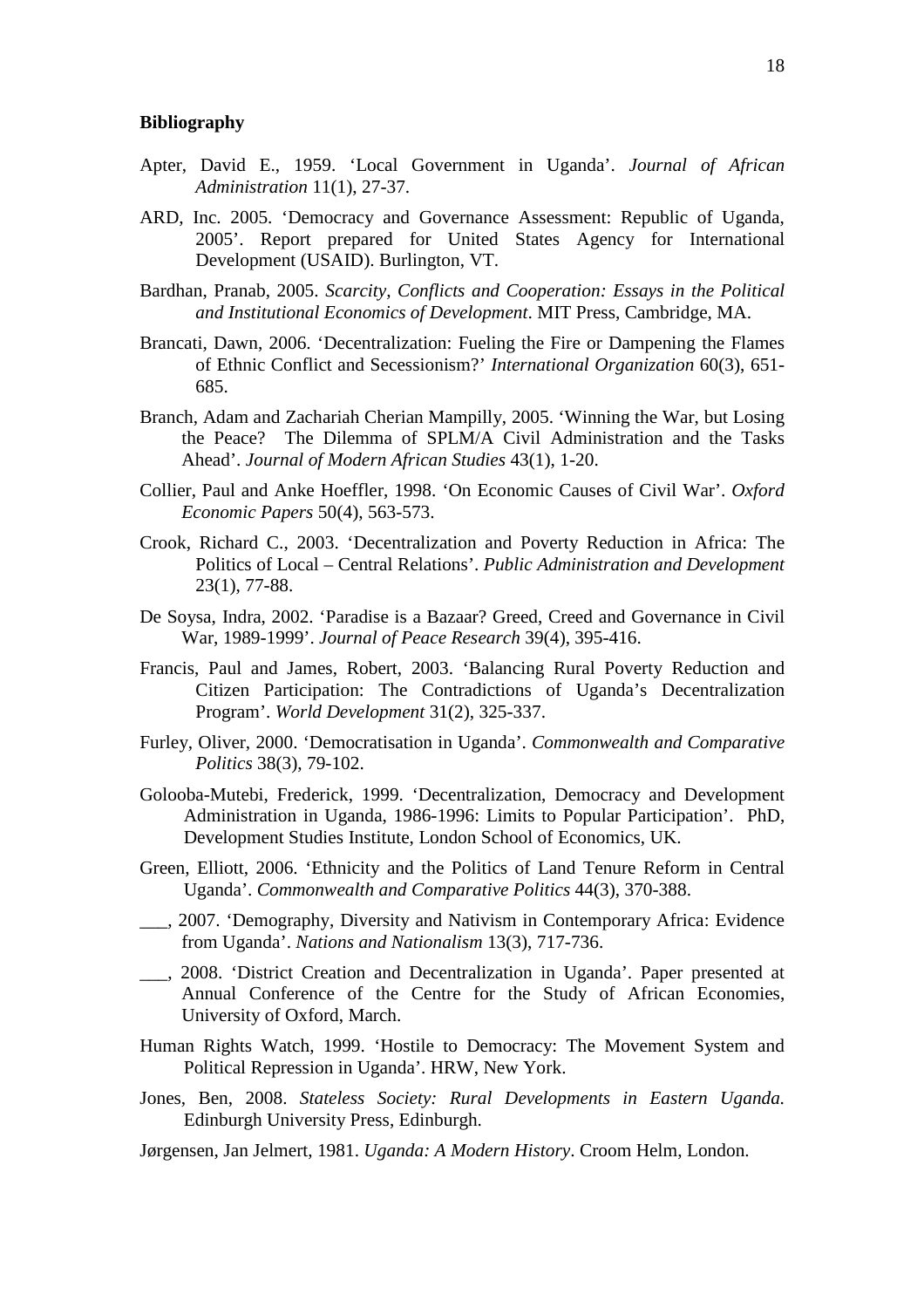#### **Bibliography**

- Apter, David E., 1959. 'Local Government in Uganda'. *Journal of African Administration* 11(1), 27-37.
- ARD, Inc. 2005. 'Democracy and Governance Assessment: Republic of Uganda, 2005'. Report prepared for United States Agency for International Development (USAID). Burlington, VT.
- Bardhan, Pranab, 2005. *Scarcity, Conflicts and Cooperation: Essays in the Political and Institutional Economics of Development*. MIT Press, Cambridge, MA.
- Brancati, Dawn, 2006. 'Decentralization: Fueling the Fire or Dampening the Flames of Ethnic Conflict and Secessionism?' *International Organization* 60(3), 651- 685.
- Branch, Adam and Zachariah Cherian Mampilly, 2005. 'Winning the War, but Losing the Peace? The Dilemma of SPLM/A Civil Administration and the Tasks Ahead'. *Journal of Modern African Studies* 43(1), 1-20.
- Collier, Paul and Anke Hoeffler, 1998. 'On Economic Causes of Civil War'. *Oxford Economic Papers* 50(4), 563-573.
- Crook, Richard C., 2003. 'Decentralization and Poverty Reduction in Africa: The Politics of Local – Central Relations'. *Public Administration and Development* 23(1), 77-88.
- De Soysa, Indra, 2002. 'Paradise is a Bazaar? Greed, Creed and Governance in Civil War, 1989-1999'. *Journal of Peace Research* 39(4), 395-416.
- Francis, Paul and James, Robert, 2003. 'Balancing Rural Poverty Reduction and Citizen Participation: The Contradictions of Uganda's Decentralization Program'. *World Development* 31(2), 325-337.
- Furley, Oliver, 2000. 'Democratisation in Uganda'. *Commonwealth and Comparative Politics* 38(3), 79-102.
- Golooba-Mutebi, Frederick, 1999. 'Decentralization, Democracy and Development Administration in Uganda, 1986-1996: Limits to Popular Participation'. PhD, Development Studies Institute, London School of Economics, UK.
- Green, Elliott, 2006. 'Ethnicity and the Politics of Land Tenure Reform in Central Uganda'. *Commonwealth and Comparative Politics* 44(3), 370-388.
- \_\_\_, 2007. 'Demography, Diversity and Nativism in Contemporary Africa: Evidence from Uganda'. *Nations and Nationalism* 13(3), 717-736.
- \_\_\_, 2008. 'District Creation and Decentralization in Uganda'. Paper presented at Annual Conference of the Centre for the Study of African Economies, University of Oxford, March.
- Human Rights Watch, 1999. 'Hostile to Democracy: The Movement System and Political Repression in Uganda'. HRW, New York.
- Jones, Ben, 2008. *Stateless Society: Rural Developments in Eastern Uganda.*  Edinburgh University Press, Edinburgh.
- Jørgensen, Jan Jelmert, 1981. *Uganda: A Modern History*. Croom Helm, London.